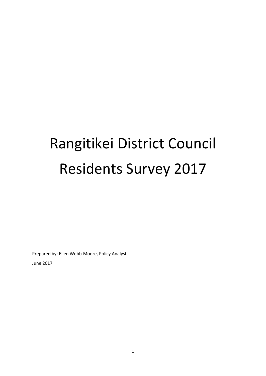# Rangitikei District Council Residents Survey 2017

Prepared by: Ellen Webb-Moore, Policy Analyst

June 2017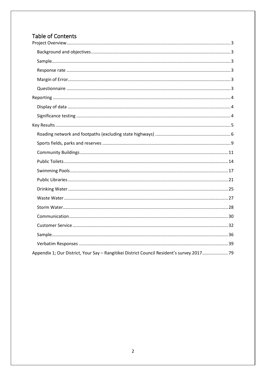# Table of Contents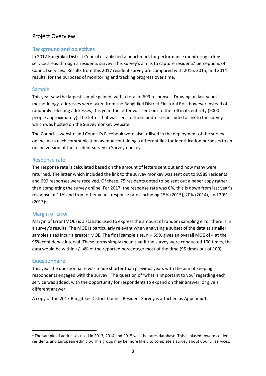## <span id="page-2-0"></span>Project Overview

## <span id="page-2-1"></span>Background and objectives

In 2012 Rangitikei District Council established a benchmark for performance monitoring in key service areas through a residents survey. This survey's aim is to capture residents' perceptions of Council services. Results from this 2017 resident survey are compared with 2016, 2015, and 2014 results, for the purposes of monitoring and tracking progress over time.

## <span id="page-2-2"></span>Sample

This year saw the largest sample gained, with a total of 699 responses. Drawing on last years' methodology, addresses were taken from the Rangitikei District Electoral Roll, however instead of randomly selecting addresses, this year, the letter was sent out to the roll in its entirety (9000 people approximately). The letter that was sent to these addresses included a link to the survey which was hosted on the Surveymonkey website.

The Council's website and Council's Facebook were also utilised in the deployment of the survey online, with each communication avenue containing a different link for identification purposes to an online version of the resident survey in Surveymonkey.

## <span id="page-2-3"></span>Response rate

The response rate is calculated based on the amount of letters sent out and how many were returned. The letter which included the link to the survey monkey was sent out to 9,989 residents and 699 responses were received. Of these, 75 residents opted to be sent out a paper copy rather than completing the survey online. For 2017, the response rate was 6%, this is down from last year's response of 11% and from other years' response rates including 15% (2015), 20% (2014), and 20%  $(2013)^{1}$ .

## <span id="page-2-4"></span>Margin of Error

Margin of Error (MOE) is a statistic used to express the amount of random sampling error there is in a survey's results. The MOE is particularly relevant when analysing a subset of the data as smaller samples sizes incur a greater MOE. The final sample size, n = 699, gives an overall MOE of 4 at the 95% confidence interval. These terms simply mean that if the survey were conducted 100 times, the data would be within +/- 4% of the reported percentage most of the time (95 times out of 100).

## <span id="page-2-5"></span>Questionnaire

This year the questionnaire was made shorter than previous years with the aim of keeping respondents engaged with the survey. The question of 'what is important to you' regarding each service was added, with the opportunity for respondents to expand on their answer, or give a different answer.

A copy of the 2017 Rangitikei District Council Resident Survey is attached as Appendix 1.

 $1$  The sample of addresses used in 2013, 2014 and 2015 was the rates database. This is biased towards older residents and European ethnicity. This group may be more likely to complete a survey about Council services.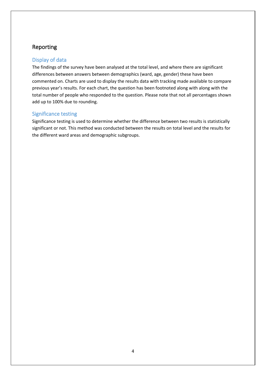# <span id="page-3-0"></span>Reporting

## <span id="page-3-1"></span>Display of data

The findings of the survey have been analysed at the total level, and where there are significant differences between answers between demographics (ward, age, gender) these have been commented on. Charts are used to display the results data with tracking made available to compare previous year's results. For each chart, the question has been footnoted along with along with the total number of people who responded to the question. Please note that not all percentages shown add up to 100% due to rounding.

## <span id="page-3-2"></span>Significance testing

Significance testing is used to determine whether the difference between two results is statistically significant or not. This method was conducted between the results on total level and the results for the different ward areas and demographic subgroups.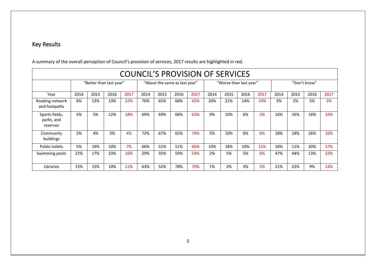# Key Results

<span id="page-4-0"></span>

| <b>COUNCIL'S PROVISION OF SERVICES</b>   |                         |      |      |      |                               |      |      |      |                        |      |      |      |              |      |      |      |
|------------------------------------------|-------------------------|------|------|------|-------------------------------|------|------|------|------------------------|------|------|------|--------------|------|------|------|
|                                          | "Better than last year" |      |      |      | "About the same as last year" |      |      |      | "Worse than last year" |      |      |      | "Don't know" |      |      |      |
| Year                                     | 2014                    | 2015 | 2016 | 2017 | 2014                          | 2015 | 2016 | 2017 | 2014                   | 2015 | 2016 | 2017 | 2014         | 2015 | 2016 | 2017 |
| Roading network<br>and footpaths         | 8%                      | 13%  | 13%  | 22%  | 70%                           | 65%  | 68%  | 65%  | 20%                    | 21%  | 14%  | 10%  | 3%           | 2%   | 5%   | 3%   |
| Sports fields,<br>parks, and<br>reserves | 5%                      | 5%   | 12%  | 18%  | 69%                           | 69%  | 66%  | 63%  | 9%                     | 10%  | 6%   | 2%   | 16%          | 16%  | 16%  | 16%  |
| Community<br>buildings                   | 5%                      | 4%   | 3%   | 4%   | 72%                           | 67%  | 65%  | 74%  | 5%                     | 10%  | 6%   | 6%   | 18%          | 18%  | 26%  | 16%  |
| Public toilets                           | 5%                      | 19%  | 10%  | 7%   | 66%                           | 51%  | 51%  | 66%  | 10%                    | 18%  | 10%  | 11%  | 18%          | 11%  | 30%  | 17%  |
| Swimming pools                           | 22%                     | 17%  | 23%  | 16%  | 29%                           | 35%  | 59%  | 54%  | 2%                     | 5%   | 5%   | 6%   | 47%          | 44%  | 13%  | 23%  |
| Libraries                                | 15%                     | 15%  | 10%  | 11%  | 63%                           | 52%  | 78%  | 70%  | 1%                     | 2%   | 3%   | 2%   | 21%          | 22%  | 9%   | 14%  |

A summary of the overall perception of Council's provision of services, 2017 results are highlighted in red.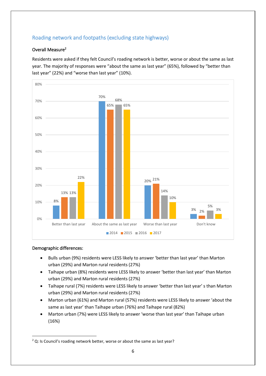## <span id="page-5-0"></span>Roading network and footpaths (excluding state highways)

## Overall Measure<sup>2</sup>

Residents were asked if they felt Council's roading network is better, worse or about the same as last year. The majority of responses were "about the same as last year" (65%), followed by "better than last year" (22%) and "worse than last year" (10%).



- Bulls urban (9%) residents were LESS likely to answer 'better than last year' than Marton urban (29%) and Marton rural residents (27%)
- Taihape urban (8%) residents were LESS likely to answer 'better than last year' than Marton urban (29%) and Marton rural residents (27%)
- Taihape rural (7%) residents were LESS likely to answer 'better than last year' s than Marton urban (29%) and Marton rural residents (27%)
- Marton urban (61%) and Marton rural (57%) residents were LESS likely to answer 'about the same as last year' than Taihape urban (76%) and Taihape rural (82%)
- Marton urban (7%) were LESS likely to answer 'worse than last year' than Taihape urban (16%)

 $2$  Q: Is Council's roading network better, worse or about the same as last year?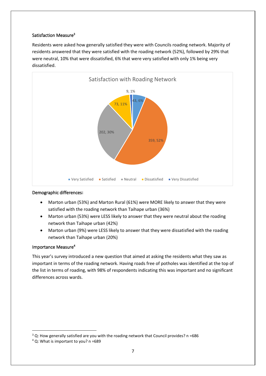## Satisfaction Measure<sup>3</sup>

Residents were asked how generally satisfied they were with Councils roading network. Majority of residents answered that they were satisfied with the roading network (52%), followed by 29% that were neutral, 10% that were dissatisfied, 6% that were very satisfied with only 1% being very dissatisfied.



## Demographic differences**:**

- Marton urban (53%) and Marton Rural (61%) were MORE likely to answer that they were satisfied with the roading network than Taihape urban (36%)
- Marton urban (53%) were LESS likely to answer that they were neutral about the roading network than Taihape urban (42%)
- Marton urban (9%) were LESS likely to answer that they were dissatisfied with the roading network than Taihape urban (20%)

## Importance Measure**<sup>4</sup>**

This year's survey introduced a new question that aimed at asking the residents what they saw as important in terms of the roading network. Having roads free of potholes was identified at the top of the list in terms of roading, with 98% of respondents indicating this was important and no significant differences across wards.

<sup>3</sup> Q: How generally satisfied are you with the roading network that Council provides? n =686

<sup>4</sup> Q: What is important to you? n =689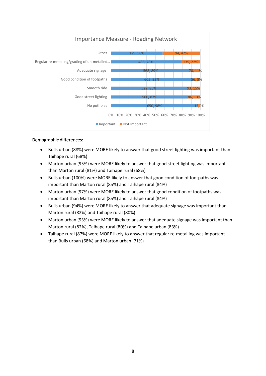

- Bulls urban (88%) were MORE likely to answer that good street lighting was important than Taihape rural (68%)
- Marton urban (95%) were MORE likely to answer that good street lighting was important than Marton rural (81%) and Taihape rural (68%)
- Bulls urban (100%) were MORE likely to answer that good condition of footpaths was important than Marton rural (85%) and Taihape rural (84%)
- Marton urban (97%) were MORE likely to answer that good condition of footpaths was important than Marton rural (85%) and Taihape rural (84%)
- Bulls urban (94%) were MORE likely to answer that adequate signage was important than Marton rural (82%) and Taihape rural (80%)
- Marton urban (93%) were MORE likely to answer that adequate signage was important than Marton rural (82%), Taihape rural (80%) and Taihape urban (83%)
- Taihape rural (87%) were MORE likely to answer that regular re-metalling was important than Bulls urban (68%) and Marton urban (71%)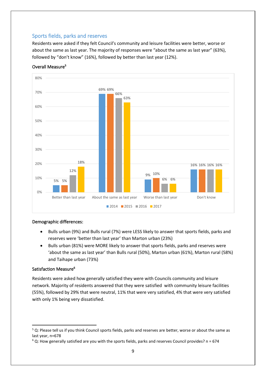## <span id="page-8-0"></span>Sports fields, parks and reserves

Residents were asked if they felt Council's community and leisure facilities were better, worse or about the same as last year. The majority of responses were "about the same as last year" (63%), followed by "don't know" (16%), followed by better than last year (12%).



## Overall Measure**<sup>5</sup>**

## Demographic differences:

- Bulls urban (9%) and Bulls rural (7%) were LESS likely to answer that sports fields, parks and reserves were 'better than last year' than Marton urban (23%)
- Bulls urban (81%) were MORE likely to answer that sports fields, parks and reserves were 'about the same as last year' than Bulls rural (50%), Marton urban (61%), Marton rural (58%) and Taihape urban (73%)

## Satisfaction Measure**<sup>6</sup>**

Residents were asked how generally satisfied they were with Councils community and leisure network. Majority of residents answered that they were satisfied with community leisure facilities (55%), followed by 29% that were neutral, 11% that were very satisfied, 4% that were very satisfied with only 1% being very dissatisfied.

<sup>&</sup>lt;sup>5</sup> Q: Please tell us if you think Council sports fields, parks and reserves are better, worse or about the same as last year, n=678

 $6$  Q: How generally satisfied are you with the sports fields, parks and reserves Council provides?  $n = 674$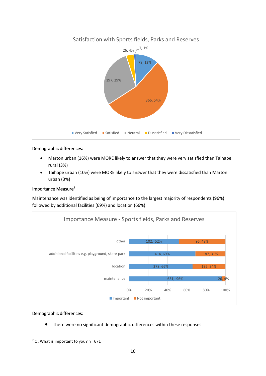

- Marton urban (16%) were MORE likely to answer that they were very satisfied than Taihape rural (3%)
- Taihape urban (10%) were MORE likely to answer that they were dissatisfied than Marton urban (3%)

#### Importance Measure**<sup>7</sup>**

Maintenance was identified as being of importance to the largest majority of respondents (96%) followed by additional facilities (69%) and location (66%).



#### Demographic differences:

• There were no significant demographic differences within these responses

 $7$  Q: What is important to you? n =671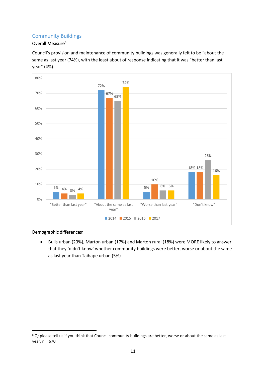## <span id="page-10-0"></span>Community Buildings

## Overall Measure**<sup>8</sup>**

Council's provision and maintenance of community buildings was generally felt to be "about the same as last year (74%), with the least about of response indicating that it was "better than last year" (4%).



## Demographic differences**:**

• Bulls urban (23%), Marton urban (17%) and Marton rural (18%) were MORE likely to answer that they 'didn't know' whether community buildings were better, worse or about the same as last year than Taihape urban (5%)

<sup>&</sup>lt;sup>8</sup> Q: please tell us if you think that Council community buildings are better, worse or about the same as last year, n = 670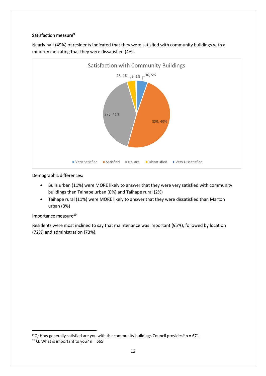## Satisfaction measure**<sup>9</sup>**

Nearly half (49%) of residents indicated that they were satisfied with community buildings with a minority indicating that they were dissatisfied (4%).



## Demographic differences**:**

- Bulls urban (11%) were MORE likely to answer that they were very satisfied with community buildings than Taihape urban (0%) and Taihape rural (2%)
- Taihape rural (11%) were MORE likely to answer that they were dissatisfied than Marton urban (3%)

## Importance measure**<sup>10</sup>**

Residents were most inclined to say that maintenance was important (95%), followed by location (72%) and administration (73%).

 $9$  Q: How generally satisfied are you with the community buildings Council provides? n = 671

 $10$  Q: What is important to you? n = 665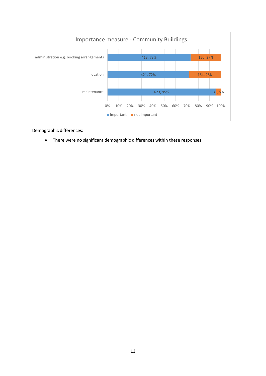

• There were no significant demographic differences within these responses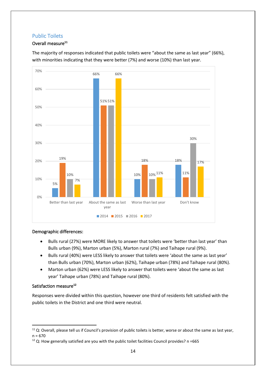## <span id="page-13-0"></span>Public Toilets

## Overall measure**<sup>11</sup>**



The majority of responses indicated that public toilets were "about the same as last year" (66%), with minorities indicating that they were better (7%) and worse (10%) than last year.

## Demographic differences:

- Bulls rural (27%) were MORE likely to answer that toilets were 'better than last year' than Bulls urban (9%), Marton urban (5%), Marton rural (7%) and Taihape rural (9%).
- Bulls rural (40%) were LESS likely to answer that toilets were 'about the same as last year' than Bulls urban (70%), Marton urban (62%), Taihape urban (78%) and Taihape rural (80%).
- Marton urban (62%) were LESS likely to answer that toilets were 'about the same as last year' Taihape urban (78%) and Taihape rural (80%).

## Satisfaction measure**<sup>12</sup>**

Responses were divided within this question, however one third of residents felt satisfied with the public toilets in the District and one third were neutral.

 $11$  Q: Overall, please tell us if Council's provision of public toilets is better, worse or about the same as last year,  $n = 670$ 

 $12$  Q: How generally satisfied are you with the public toilet facilities Council provides? n =665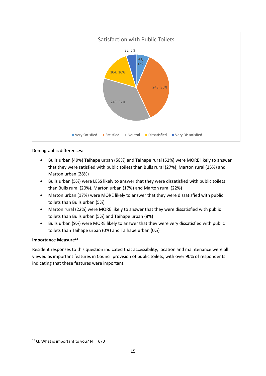

- Bulls urban (49%) Taihape urban (58%) and Taihape rural (52%) were MORE likely to answer that they were satisfied with public toilets than Bulls rural (27%), Marton rural (25%) and Marton urban (28%)
- Bulls urban (5%) were LESS likely to answer that they were dissatisfied with public toilets than Bulls rural (20%), Marton urban (17%) and Marton rural (22%)
- Marton urban (17%) were MORE likely to answer that they were dissatisfied with public toilets than Bulls urban (5%)
- Marton rural (22%) were MORE likely to answer that they were dissatisfied with public toilets than Bulls urban (5%) and Taihape urban (8%)
- Bulls urban (9%) were MORE likely to answer that they were very dissatisfied with public toilets than Taihape urban (0%) and Taihape urban (0%)

#### **Importance Measure<sup>13</sup>**

Resident responses to this question indicated that accessibility, location and maintenance were all viewed as important features in Council provision of public toilets, with over 90% of respondents indicating that these features were important.

 $13$  Q: What is important to you? N = 670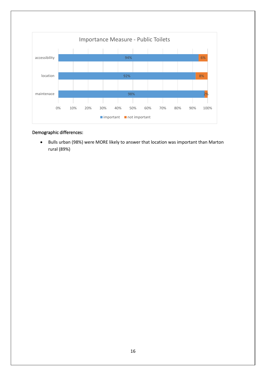

• Bulls urban (98%) were MORE likely to answer that location was important than Marton rural (89%)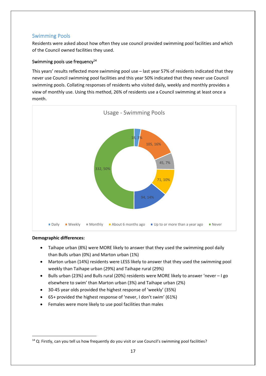## <span id="page-16-0"></span>Swimming Pools

Residents were asked about how often they use council provided swimming pool facilities and which of the Council owned facilities they used.

## Swimming pools use frequency<sup>14</sup>

This years' results reflected more swimming pool use – last year 57% of residents indicated that they never use Council swimming pool facilities and this year 50% indicated that they never use Council swimming pools. Collating responses of residents who visited daily, weekly and monthly provides a view of monthly use. Using this method, 26% of residents use a Council swimming at least once a month.



- Taihape urban (8%) were MORE likely to answer that they used the swimming pool daily than Bulls urban (0%) and Marton urban (1%)
- Marton urban (14%) residents were LESS likely to answer that they used the swimming pool weekly than Taihape urban (29%) and Taihape rural (29%)
- Bulls urban (23%) and Bulls rural (20%) residents were MORE likely to answer 'never I go elsewhere to swim' than Marton urban (3%) and Taihape urban (2%)
- 30-45 year olds provided the highest response of 'weekly' (35%)
- 65+ provided the highest response of 'never, I don't swim' (61%)
- Females were more likely to use pool facilities than males

<sup>&</sup>lt;sup>14</sup> Q: Firstly, can you tell us how frequently do you visit or use Council's swimming pool facilities?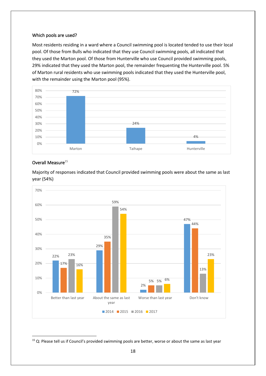#### Which pools are used?

Most residents residing in a ward where a Council swimming pool is located tended to use their local pool. Of those from Bulls who indicated that they use Council swimming pools, all indicated that they used the Marton pool. Of those from Hunterville who use Council provided swimming pools, 29% indicated that they used the Marton pool, the remainder frequenting the Hunterville pool. 5% of Marton rural residents who use swimming pools indicated that they used the Hunterville pool, with the remainder using the Marton pool (95%).



#### Overall Measure $^{15}$



Majority of responses indicated that Council provided swimming pools were about the same as last year (54%)

<sup>&</sup>lt;sup>15</sup> Q: Please tell us if Council's provided swimming pools are better, worse or about the same as last year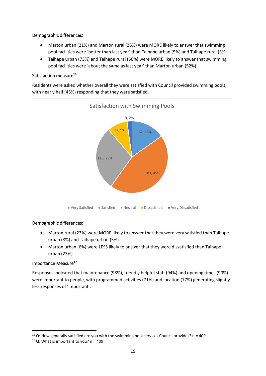- Marton urban (21%) and Marton rural (26%) were MORE likely to answer that swimming pool facilities were 'better than last year' than Taihape urban (5%) and Taihape rural (3%).
- Taihape urban (73%) and Taihape rural (66%) were MORE likely to answer that swimming pool facilities were 'about the same as last year' than Marton urban (52%)

## Satisfaction measure**<sup>16</sup>**

Residents were asked whether overall they were satisfied with Council provided swimming pools, with nearly half (45%) responding that they were satisfied.



## Demographic differences:

- Marton rural (23%) were MORE likely to answer that they were very satisfied than Taihape urban (8%) and Taihape urban (5%).
- Marton urban (6%) were LESS likely to answer that they were dissatisfied than Taihape urban (23%)

## Importance Measure**<sup>17</sup>**

Responses indicated that maintenance (98%), friendly helpful staff (94%) and opening times (90%) were important to people, with programmed activities (71%) and location (77%) generating slightly less responses of 'important'.

 $16$  Q: How generally satisfied are you with the swimming pool services Council provides? n = 409

 $17$  Q: What is important to you? n = 409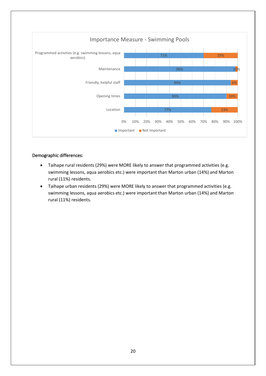

- Taihape rural residents (29%) were MORE likely to answer that programmed activities (e.g. swimming lessons, aqua aerobics etc.) were important than Marton urban (14%) and Marton rural (11%) residents.
- Taihape urban residents (29%) were MORE likely to answer that programmed activities (e.g. swimming lessons, aqua aerobics etc.) were important than Marton urban (14%) and Marton rural (11%) residents.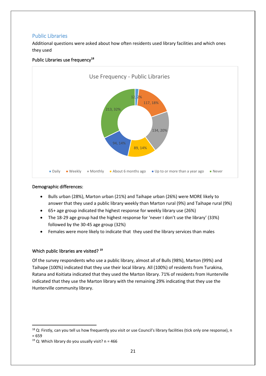## <span id="page-20-0"></span>Public Libraries

Additional questions were asked about how often residents used library facilities and which ones they used



## Public Libraries use frequency**<sup>18</sup>**

#### Demographic differences:

- Bulls urban (28%), Marton urban (21%) and Taihape urban (26%) were MORE likely to answer that they used a public library weekly than Marton rural (9%) and Taihape rural (9%)
- 65+ age group indicated the highest response for weekly library use (26%)
- The 18-29 age group had the highest response for 'never I don't use the library' (33%) followed by the 30-45 age group (32%)
- Females were more likely to indicate that they used the library services than males

## Which public libraries are visited? **<sup>19</sup>**

Of the survey respondents who use a public library, almost all of Bulls (98%), Marton (99%) and Taihape (100%) indicated that they use their local library. All (100%) of residents from Turakina, Ratana and Koitiata indicated that they used the Marton library. 71% of residents from Hunterville indicated that they use the Marton library with the remaining 29% indicating that they use the Hunterville community library.

 $18$  Q: Firstly, can you tell us how frequently you visit or use Council's library facilities (tick only one response), n

<sup>= 659</sup>

<sup>&</sup>lt;sup>19</sup> Q: Which library do you usually visit?  $n = 466$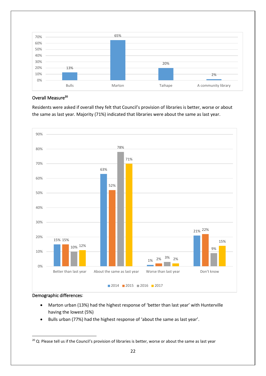

#### Overall Measure**<sup>20</sup>**

Residents were asked if overall they felt that Council's provision of libraries is better, worse or about the same as last year. Majority (71%) indicated that libraries were about the same as last year.



- Marton urban (13%) had the highest response of 'better than last year' with Hunterville having the lowest (5%)
- Bulls urban (77%) had the highest response of 'about the same as last year'.

 $20$  Q: Please tell us if the Council's provision of libraries is better, worse or about the same as last year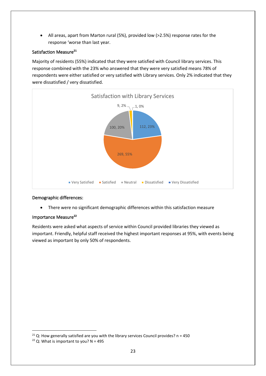• All areas, apart from Marton rural (5%), provided low (>2.5%) response rates for the response 'worse than last year.

## Satisfaction Measure**<sup>21</sup>**

Majority of residents (55%) indicated that they were satisfied with Council library services. This response combined with the 23% who answered that they were very satisfied means 78% of respondents were either satisfied or very satisfied with Library services. Only 2% indicated that they were dissatisfied / very dissatisfied.



## Demographic differences:

• There were no significant demographic differences within this satisfaction measure

## Importance Measure**<sup>22</sup>**

Residents were asked what aspects of service within Council provided libraries they viewed as important. Friendly, helpful staff received the highest important responses at 95%, with events being viewed as important by only 50% of respondents.

<sup>&</sup>lt;sup>21</sup> Q: How generally satisfied are you with the library services Council provides?  $n = 450$ 

<sup>&</sup>lt;sup>22</sup> Q: What is important to you?  $N = 495$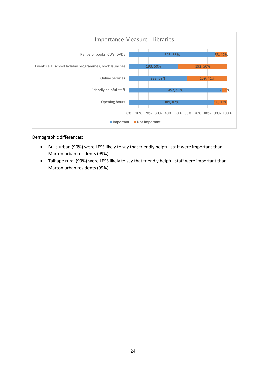

- Bulls urban (90%) were LESS likely to say that friendly helpful staff were important than Marton urban residents (99%)
- Taihape rural (93%) were LESS likely to say that friendly helpful staff were important than Marton urban residents (99%)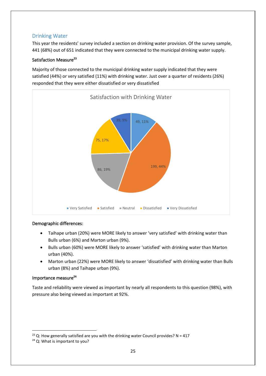## <span id="page-24-0"></span>Drinking Water

This year the residents' survey included a section on drinking water provision. Of the survey sample, 441 (68%) out of 651 indicated that they were connected to the municipal drinking water supply.

## Satisfaction Measure**<sup>23</sup>**

Majority of those connected to the municipal drinking water supply indicated that they were satisfied (44%) or very satisfied (11%) with drinking water. Just over a quarter of residents (26%) responded that they were either dissatisfied or very dissatisfied



## Demographic differences:

- Taihape urban (20%) were MORE likely to answer 'very satisfied' with drinking water than Bulls urban (6%) and Marton urban (9%).
- Bulls urban (60%) were MORE likely to answer 'satisfied' with drinking water than Marton urban (40%).
- Marton urban (22%) were MORE likely to answer 'dissatisfied' with drinking water than Bulls urban (8%) and Taihape urban (9%).

## Importance measure**<sup>24</sup>**

Taste and reliability were viewed as important by nearly all respondents to this question (98%), with pressure also being viewed as important at 92%.

<sup>&</sup>lt;sup>23</sup> Q: How generally satisfied are you with the drinking water Council provides? N = 417

<sup>&</sup>lt;sup>24</sup> Q: What is important to you?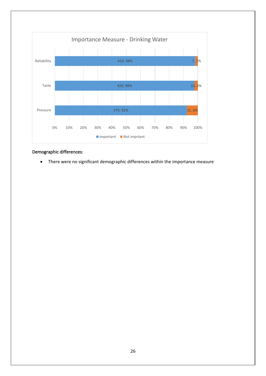

• There were no significant demographic differences within the importance measure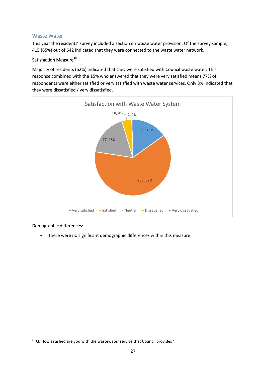## <span id="page-26-0"></span>Waste Water

This year the residents' survey included a section on waste water provision. Of the survey sample, 415 (65%) out of 642 indicated that they were connected to the waste water network.

## Satisfaction Measure**<sup>25</sup>**

Majority of residents (62%) indicated that they were satisfied with Council waste water. This response combined with the 15% who answered that they were very satisfied means 77% of respondents were either satisfied or very satisfied with waste water services. Only 3% indicated that they were dissatisfied / very dissatisfied.



## Demographic differences:

• There were no significant demographic differences within this measure

 $25$  Q: How satisfied are you with the wastewater service that Council provides?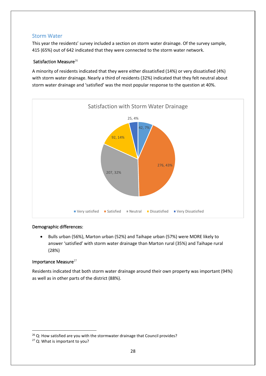## <span id="page-27-0"></span>Storm Water

This year the residents' survey included a section on storm water drainage. Of the survey sample, 415 (65%) out of 642 indicated that they were connected to the storm water network.

## Satisfaction Measure<sup>26</sup>

A minority of residents indicated that they were either dissatisfied (14%) or very dissatisfied (4%) with storm water drainage. Nearly a third of residents (32%) indicated that they felt neutral about storm water drainage and 'satisfied' was the most popular response to the question at 40%.



## Demographic differences:

• Bulls urban (56%), Marton urban (52%) and Taihape urban (57%) were MORE likely to answer 'satisfied' with storm water drainage than Marton rural (35%) and Taihape rural (28%)

## Importance Measure<sup>27</sup>

Residents indicated that both storm water drainage around their own property was important (94%) as well as in other parts of the district (88%).

<sup>&</sup>lt;sup>26</sup> Q: How satisfied are you with the stormwater drainage that Council provides?

<sup>27</sup> Q: What is important to you?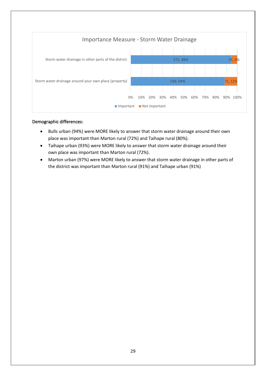

- Bulls urban (94%) were MORE likely to answer that storm water drainage around their own place was important than Marton rural (72%) and Taihape rural (80%).
- Taihape urban (93%) were MORE likely to answer that storm water drainage around their own place was important than Marton rural (72%).
- Marton urban (97%) were MORE likely to answer that storm water drainage in other parts of the district was important than Marton rural (91%) and Taihape urban (91%)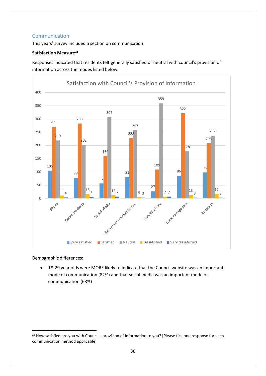## <span id="page-29-0"></span>**Communication**

This years' survey included a section on communication

## **Satisfaction Measure<sup>28</sup>**

Responses indicated that residents felt generally satisfied or neutral with council's provision of information across the modes listed below.



## Demographic differences:

• 18-29 year olds were MORE likely to indicate that the Council website was an important mode of communication (82%) and that social media was an important mode of communication (68%)

<sup>&</sup>lt;sup>28</sup> How satisfied are you with Council's provision of information to you? [Please tick one response for each communication method applicable]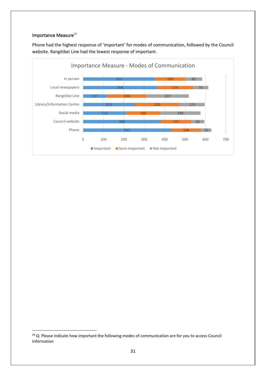#### Importance Measure<sup>29</sup>

Phone had the highest response of 'important' for modes of communication, followed by the Council website. Rangitikei Line had the lowest response of important.



<sup>&</sup>lt;sup>29</sup> Q: Please indicate how important the following modes of communication are for you to access Council information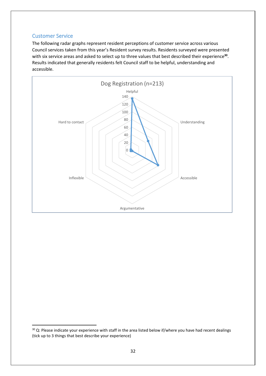## <span id="page-31-0"></span>Customer Service

The following radar graphs represent resident perceptions of customer service across various Council services taken from this year's Resident survey results. Residents surveyed were presented with six service areas and asked to select up to three values that best described their experience**<sup>30</sup>** . Results indicated that generally residents felt Council staff to be helpful, understanding and accessible.



<sup>&</sup>lt;sup>30</sup> Q: Please indicate your experience with staff in the area listed below if/where you have had recent dealings (tick up to 3 things that best describe your experience)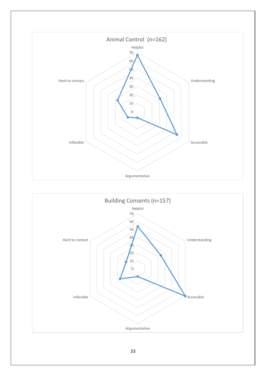

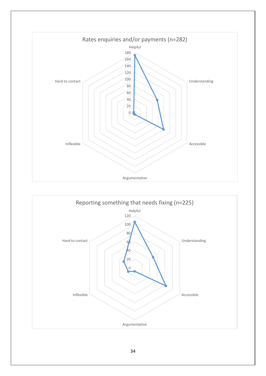

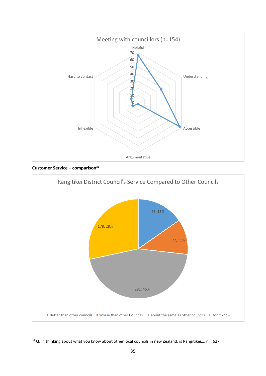

**Customer Service – comparison<sup>31</sup>**



 $31$  Q: In thinking about what you know about other local councils in new Zealand, is Rangitikei..., n = 627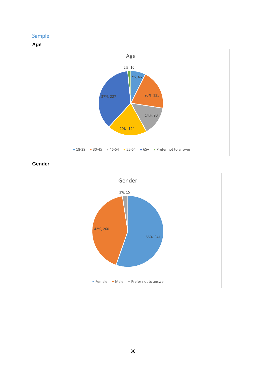# <span id="page-35-0"></span>Sample



## **Gender**

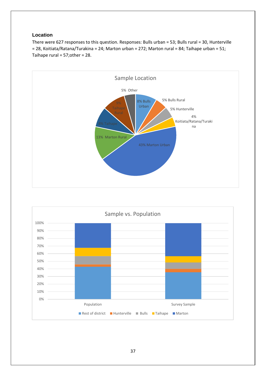### **Location**

There were 627 responses to this question. Responses: Bulls urban = 53; Bulls rural = 30, Hunterville = 28, Koitiata/Ratana/Turakina = 24; Marton urban = 272; Marton rural = 84; Taihape urban = 51; Taihape rural = 57;other = 28.



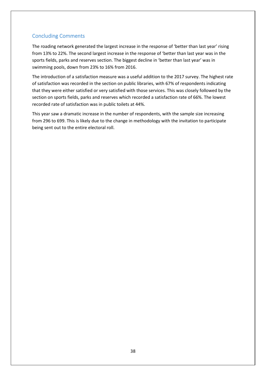# Concluding Comments

The roading network generated the largest increase in the response of 'better than last year' rising from 13% to 22%. The second largest increase in the response of 'better than last year was in the sports fields, parks and reserves section. The biggest decline in 'better than last year' was in swimming pools, down from 23% to 16% from 2016.

The introduction of a satisfaction measure was a useful addition to the 2017 survey. The highest rate of satisfaction was recorded in the section on public libraries, with 67% of respondents indicating that they were either satisfied or very satisfied with those services. This was closely followed by the section on sports fields, parks and reserves which recorded a satisfaction rate of 66%. The lowest recorded rate of satisfaction was in public toilets at 44%.

This year saw a dramatic increase in the number of respondents, with the sample size increasing from 296 to 699. This is likely due to the change in methodology with the invitation to participate being sent out to the entire electoral roll.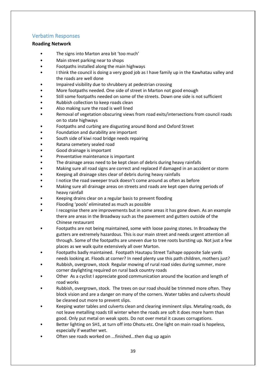## Verbatim Responses

#### **Roading Network**

- The signs into Marton area bit 'too much'
- Main street parking near to shops
- Footpaths installed along the main highways
- I think the council is doing a very good job as I have family up in the Kawhatau valley and the roads are well done
- Impaired visibility due to shrubbery at pedestrian crossing
- More footpaths needed. One side of street in Marton not good enough
- Still some footpaths needed on some of the streets. Down one side is not sufficient
- Rubbish collection to keep roads clean
- Also making sure the road is well lined
- Removal of vegetation obscuring views from road exits/intersections from council roads on to state highways
- Footpaths and curbing are disgusting around Bond and Oxford Street
- Foundation and durability are important
- South side of kiwi road bridge needs repairing
- Ratana cemetery sealed road
- Good drainage is important
- Preventative maintenance is important
- The drainage areas need to be kept clean of debris during heavy rainfalls
- Making sure all road signs are correct and replaced if damaged in an accident or storm
- Keeping all drainage sites clear of debris during heavy rainfalls
- I notice the road sweeper truck doesn't come around as often as before
- Making sure all drainage areas on streets and roads are kept open during periods of heavy rainfall
- Keeping drains clear on a regular basis to prevent flooding
- Flooding 'pools' eliminated as much as possible
- I recognise there are improvements but in some areas it has gone down. As an example there are areas in the Broadway such as the pavement and gutters outside of the Chinese restaurant
- Footpaths are not being maintained, some with loose paving stones. In Broadway the gutters are extremely hazardous. This is our main street and needs urgent attention all through. Some of the footpaths are uneven due to tree roots bursting up. Not just a few places as we walk quite extensively all over Marton.
- Footpaths badly maintained. Footpath Hautapu Street Taihape opposite Sale yards needs looking at. Floods at corner? In need plenty use this path children, mothers just?
- Rubbish, overgrown, stock Regular mowing of rural road sides during summer, more corner daylighting required on rural back country roads
- Other As a cyclist I appreciate good communication around the location and length of road works
- Rubbish, overgrown, stock. The trees on our road should be trimmed more often. They block vision and are a danger on many of the corners. Water tables and culverts should be cleaned out more to prevent slips.
- Keeping water tables and culverts clean and clearing imminent slips. Metaling roads, do not leave metalling roads till winter when the roads are soft it does more harm than good. Only put metal on weak spots. Do not over metal it causes corrugations.
- Better lighting on SH1, at turn off into Ohotu etc. One light on main road is hopeless, especially if weather wet.
- Often see roads worked on ...finished...then dug up again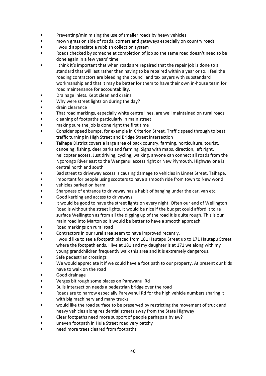- Preventing/minimising the use of smaller roads by heavy vehicles
- mown grass on side of roads, corners and gateways especially on country roads
- I would appreciate a rubbish collection system
- Roads checked by someone at completion of job so the same road doesn't need to be done again in a few years' time
- I think it's important that when roads are repaired that the repair job is done to a standard that will last rather than having to be repaired within a year or so. I feel the roading contractors are bleeding the council and tax payers with substandard workmanship and that it may be better for them to have their own in-house team for road maintenance for accountability.
- Drainage inlets. Kept clean and drains
- Why were street lights on during the day?
- drain clearance
- That road markings, especially white centre lines, are well maintained on rural roads
- cleaning of footpaths particularly in main street
- making sure the job is done right the first time
- Consider speed bumps, for example in Criterion Street. Traffic speed through to beat traffic turning in High Street and Bridge Street intersection
- Taihape District covers a large area of back country, farming, horticulture, tourist, canoeing, fishing, deer parks and farming. Signs with maps, direction, left right, helicopter access. Just driving, cycling, walking, anyone can connect all roads from the Ngorongo River east to the Wanganui access right or New Plymouth. Highway one is central north and south
- Bad street to driveway access is causing damage to vehicles in Linnet Street, Taihape.
- important for people using scooters to have a smooth ride from town to New world • vehicles parked on berm
- Sharpness of entrance to driveway has a habit of banging under the car, van etc.
- Good kerbing and access to driveways
- It would be good to have the street lights on every night. Often our end of Wellington Road is without the street lights. It would be nice if the budget could afford it to re surface Wellington as from all the digging up of the road it is quite rough. This is our main road into Marton so it would be better to have a smooth approach.
- Road markings on rural road
- Contractors in our rural area seem to have improved recently.
- I would like to see a footpath placed from 181 Hautapu Street up to 171 Hautapu Street where the footpath ends. I live at 181 and my daughter is at 171 we along with my young grandchildren frequently walk this area and it is extremely dangerous.
- Safe pedestrian crossings
- We would appreciate it if we could have a foot path to our property. At present our kids have to walk on the road
- Good drainage
- Verges bit rough some places on Parewanui Rd
- Bulls intersection needs a pedestrian bridge over the road
- Roads are to narrow especially Parewanui Rd for the high vehicle numbers sharing it with big machinery and many trucks
- would like the road surface to be preserved by restricting the movement of truck and heavy vehicles along residential streets away from the State Highway
- Clear footpaths need more support of people perhaps a bylaw?
- uneven footpath in Huia Street road very patchy
- need more trees cleared from footpaths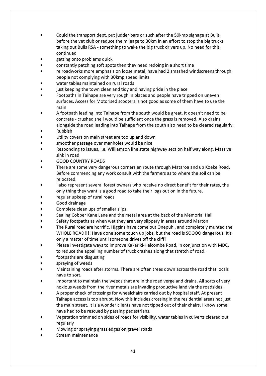- Could the transport dept. put judder bars or such after the 50kmp signage at Bulls before the vet club or reduce the mileage to 30km in an effort to stop the big trucks taking out Bulls RSA - something to wake the big truck drivers up. No need for this continued
- getting onto problems quick
- constantly patching soft spots then they need redoing in a short time
- re roadworks more emphasis on loose metal, have had 2 smashed windscreens through people not complying with 30kmp speed limits
- water tables maintained on rural roads
- just keeping the town clean and tidy and having pride in the place
- Footpaths in Taihape are very rough in places and people have tripped on uneven surfaces. Access for Motorised scooters is not good as some of them have to use the main
- A footpath leading into Taihape from the south would be great. It doesn't need to be concrete - crushed shell would be sufficient once the grass is removed. Also drains alongside the road leading into Taihape from the south also need to be cleared regularly.
- Rubbish
- Utility covers on main street are too up and down
- smoother passage over manholes would be nice
- Responding to issues, i.e. Williamson line state highway section half way along. Massive sink in road
- GOOD COUNTRY ROADS
- There are some very dangerous corners en route through Mataroa and up Koeke Road. Before commencing any work consult with the farmers as to where the soil can be relocated.
- I also represent several forest owners who receive no direct benefit for their rates, the only thing they want is a good road to take their logs out on in the future.
- regular upkeep of rural roads
- Good drainage
- Complete clean ups of smaller slips.
- Sealing Cobber Kane Lane and the metal area at the back of the Memorial Hall
- Safety footpaths as when wet they are very slippery in areas around Marton
- The Rural road are horrific. Higgins have come out Onepuhi, and completely munted the WHOLE ROAD!!!! Have done some touch up jobs, but the road is SOOOO dangerous. It's only a matter of time until someone drives off the cliff!
- Please investigate ways to improve Kakariki-Halcombe Road, in conjunction with MDC, to reduce the appalling number of truck crashes along that stretch of road.
- footpaths are disgusting
- spraying of weeds
- Maintaining roads after storms. There are often trees down across the road that locals have to sort.
- Important to maintain the weeds that are in the road verge and drains. All sorts of very noxious weeds from the river metals are invading productive land via the roadsides.
- A proper check of crossings for wheelchairs carried out by hospital staff. At present Taihape access is too abrupt. Now this includes crossing in the residential areas not just the main street. It is a wonder clients have not tipped out of their chairs. I know some have had to be rescued by passing pedestrians.
- Vegetation trimmed on sides of roads for visibility, water tables in culverts cleared out regularly
- Mowing or spraying grass edges on gravel roads
- Stream maintenance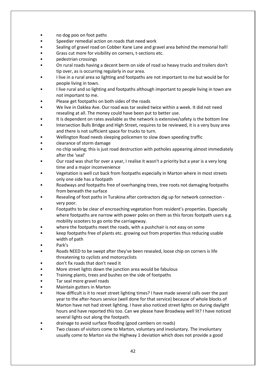- no dog poo on foot paths
- Speedier remedial action on roads that need work
- Sealing of gravel road on Cobber Kane Lane and gravel area behind the memorial hall!
- Grass cut more for visibility on corners, t-sections etc.
- pedestrian crossings
- On rural roads having a decent berm on side of road so heavy trucks and trailers don't tip over, as is occurring regularly in our area.
- I live in a rural area so lighting and footpaths are not important to me but would be for people living in town.
- I live rural and so lighting and footpaths although important to people living in town are not important to me.
- Please get footpaths on both sides of the roads
- We live in Oaklea Ave. Our road was tar sealed twice within a week. It did not need resealing at all. The money could have been put to better use.
- It is dependent on rates available as the network is extensive/safety is the bottom line
- Intersection Bulls Bridge and High Street, requires to be reviewed, it is a very busy area and there is not sufficient space for trucks to turn.
- Wellington Road needs sleeping policemen to slow down speeding traffic
- clearance of storm damage
- no chip sealing; this is just road destruction with potholes appearing almost immediately after the 'seal'
- Our road was shut for over a year, I realise it wasn't a priority but a year is a very long time and a major inconvenience
- Vegetation is well cut back from footpaths especially in Marton where in most streets only one side has a footpath
- Roadways and footpaths free of overhanging trees, tree roots not damaging footpaths from beneath the surface
- Resealing of foot paths in Turakina after contractors dig up for network connection very poor.
- Footpaths to be clear of encroaching vegetation from resident's properties. Especially where footpaths are narrow with power poles on them as this forces footpath users e.g. mobility scooters to go onto the carriageway.
- where the footpaths meet the roads, with a pushchair is not easy on some
- keep footpaths free of plants etc. growing out from properties thus reducing usable width of path
- Park's
- Roads NEED to be swept after they've been resealed, loose chip on corners is life threatening to cyclists and motorcyclists
- don't fix roads that don't need it
- More street lights down the junction area would be fabulous
- Training plants, trees and bushes on the side of footpaths
- Tar seal more gravel roads
- Maintain gutters in Marton
- How difficult is it to reset street lighting times? I have made several calls over the past year to the after-hours service (well done for that service) because of whole blocks of Marton have not had street lighting. I have also noticed street lights on during daylight hours and have reported this too. Can we please have Broadway well lit? I have noticed several lights out along the footpath.
- drainage to avoid surface flooding (good cambers on roads)
- Two classes of visitors come to Marton, voluntary and involuntary. The involuntary usually come to Marton via the Highway 1 deviation which does not provide a good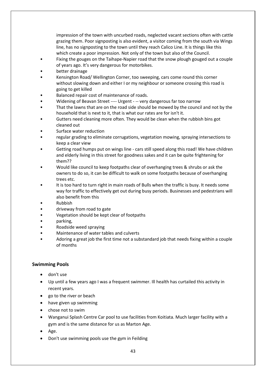impression of the town with uncurbed roads, neglected vacant sections often with cattle grazing them. Poor signposting is also evident, a visitor coming from the south via Wings line, has no signposting to the town until they reach Calico Line. It is things like this which create a poor impression. Not only of the town but also of the Council.

- Fixing the gouges on the Taihape-Napier road that the snow plough gouged out a couple of years ago. It's very dangerous for motorbikes.
- better drainage
- Kensington Road/ Wellington Corner, too sweeping, cars come round this corner without slowing down and either I or my neighbour or someone crossing this road is going to get killed
- Balanced repair cost of maintenance of roads.
- Widening of Beavan Street ---- Urgent -- very dangerous far too narrow
- That the lawns that are on the road side should be mowed by the council and not by the household that is next to it, that is what our rates are for isn't it.
- Gutters need cleaning more often. They would be clean when the rubbish bins got cleaned out
- Surface water reduction
- regular grading to eliminate corrugations, vegetation mowing, spraying intersections to keep a clear view
- Getting road humps put on wings line cars still speed along this road! We have children and elderly living in this street for goodness sakes and it can be quite frightening for them??
- Would like council to keep footpaths clear of overhanging trees & shrubs or ask the owners to do so, it can be difficult to walk on some footpaths because of overhanging trees etc.
- It is too hard to turn right in main roads of Bulls when the traffic is busy. It needs some way for traffic to effectively get out during busy periods. Businesses and pedestrians will also benefit from this
- Rubbish
- driveway from road to gate
- Vegetation should be kept clear of footpaths
- parking,
- Roadside weed spraying
- Maintenance of water tables and culverts
- Adoring a great job the first time not a substandard job that needs fixing within a couple of months

#### **Swimming Pools**

- don't use
- Up until a few years ago I was a frequent swimmer. Ill health has curtailed this activity in recent years.
- go to the river or beach
- have given up swimming
- chose not to swim
- Wanganui Splash Centre Car pool to use facilities from Koitiata. Much larger facility with a gym and is the same distance for us as Marton Age.
- Age.
- Don't use swimming pools use the gym in Feilding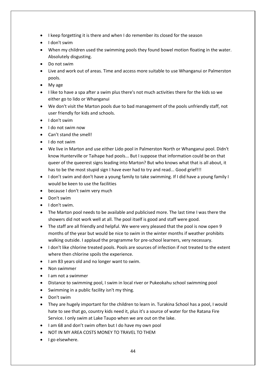- I keep forgetting it is there and when I do remember its closed for the season
- I don't swim
- When my children used the swimming pools they found bowel motion floating in the water. Absolutely disgusting.
- Do not swim
- Live and work out of areas. Time and access more suitable to use Whanganui or Palmerston pools.
- My age
- I like to have a spa after a swim plus there's not much activities there for the kids so we either go to lido or Whanganui
- We don't visit the Marton pools due to bad management of the pools unfriendly staff, not user friendly for kids and schools.
- I don't swim
- I do not swim now
- Can't stand the smell!
- I do not swim
- We live in Marton and use either Lido pool in Palmerston North or Whanganui pool. Didn't know Hunterville or Taihape had pools... But I suppose that information could be on that queer of the queerest signs leading into Marton? But who knows what that is all about, it has to be the most stupid sign I have ever had to try and read... Good grief!!!
- I don't swim and don't have a young family to take swimming. If I did have a young family I would be keen to use the facilities
- because I don't swim very much
- Don't swim
- I don't swim.
- The Marton pool needs to be available and publicised more. The last time I was there the showers did not work well at all. The pool itself is good and staff were good.
- The staff are all friendly and helpful. We were very pleased that the pool is now open 9 months of the year but would be nice to swim in the winter months if weather prohibits walking outside. I applaud the programme for pre-school learners, very necessary.
- I don't like chlorine treated pools. Pools are sources of infection if not treated to the extent where then chlorine spoils the experience.
- I am 83 years old and no longer want to swim.
- Non swimmer
- I am not a swimmer
- Distance to swimming pool, I swim in local river or Pukeokahu school swimming pool
- Swimming in a public facility isn't my thing.
- Don't swim
- They are hugely important for the children to learn in. Turakina School has a pool, I would hate to see that go, country kids need it, plus it's a source of water for the Ratana Fire Service. I only swim at Lake Taupo when we are out on the lake.
- I am 68 and don't swim often but I do have my own pool
- NOT IN MY AREA COSTS MONEY TO TRAVEL TO THEM
- I go elsewhere.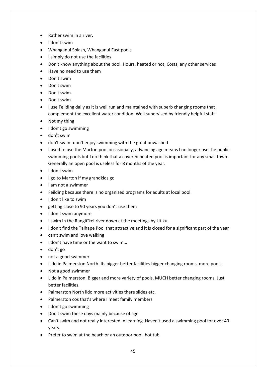- Rather swim in a river.
- I don't swim
- Whanganui Splash, Whanganui East pools
- I simply do not use the facilities
- Don't know anything about the pool. Hours, heated or not, Costs, any other services
- Have no need to use them
- Don't swim
- Don't swim
- Don't swim.
- Don't swim
- I use Feilding daily as it is well run and maintained with superb changing rooms that complement the excellent water condition. Well supervised by friendly helpful staff
- Not my thing
- I don't go swimming
- don't swim
- don't swim -don't enjoy swimming with the great unwashed
- I used to use the Marton pool occasionally, advancing age means I no longer use the public swimming pools but I do think that a covered heated pool is important for any small town. Generally an open pool is useless for 8 months of the year.
- I don't swim
- I go to Marton if my grandkids go
- I am not a swimmer
- Feilding because there is no organised programs for adults at local pool.
- I don't like to swim
- getting close to 90 years you don't use them
- I don't swim anymore
- I swim in the Rangitīkei river down at the meetings by Utiku
- I don't find the Taihape Pool that attractive and it is closed for a significant part of the year
- can't swim and love walking
- I don't have time or the want to swim...
- don't go
- not a good swimmer
- Lido in Palmerston North. Its bigger better facilities bigger changing rooms, more pools.
- Not a good swimmer
- Lido in Palmerston. Bigger and more variety of pools, MUCH better changing rooms. Just better facilities.
- Palmerston North lido more activities there slides etc.
- Palmerston cos that's where I meet family members
- I don't go swimming
- Don't swim these days mainly because of age
- Can't swim and not really interested in learning. Haven't used a swimming pool for over 40 years.
- Prefer to swim at the beach or an outdoor pool, hot tub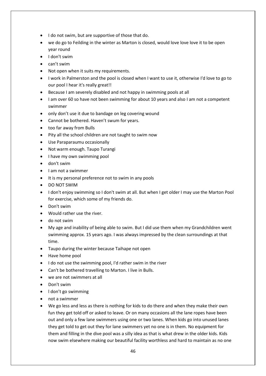- I do not swim, but are supportive of those that do.
- we do go to Feilding in the winter as Marton is closed, would love love love it to be open year round
- I don't swim
- can't swim
- Not open when it suits my requirements.
- I work in Palmerston and the pool is closed when I want to use it, otherwise I'd love to go to our pool I hear it's really great!!
- Because I am severely disabled and not happy in swimming pools at all
- I am over 60 so have not been swimming for about 10 years and also I am not a competent swimmer
- only don't use it due to bandage on leg covering wound
- Cannot be bothered. Haven't swum for years.
- too far away from Bulls
- Pity all the school children are not taught to swim now
- Use Paraparaumu occasionally
- Not warm enough. Taupo Turangi
- I have my own swimming pool
- don't swim
- I am not a swimmer
- It is my personal preference not to swim in any pools
- DO NOT SWIM
- I don't enjoy swimming so I don't swim at all. But when I get older I may use the Marton Pool for exercise, which some of my friends do.
- Don't swim
- Would rather use the river.
- do not swim
- My age and inability of being able to swim. But I did use them when my Grandchildren went swimming approx. 15 years ago. I was always impressed by the clean surroundings at that time.
- Taupo during the winter because Taihape not open
- Have home pool
- I do not use the swimming pool, I'd rather swim in the river
- Can't be bothered travelling to Marton. I live in Bulls.
- we are not swimmers at all
- Don't swim
- l don't go swimming
- not a swimmer
- We go less and less as there is nothing for kids to do there and when they make their own fun they get told off or asked to leave. Or on many occasions all the lane ropes have been out and only a few lane swimmers using one or two lanes. When kids go into unused lanes they get told to get out they for lane swimmers yet no one is in them. No equipment for them and filling in the dive pool was a silly idea as that is what drew in the older kids. Kids now swim elsewhere making our beautiful facility worthless and hard to maintain as no one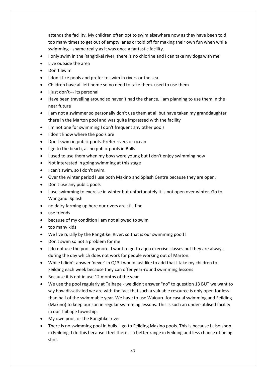attends the facility. My children often opt to swim elsewhere now as they have been told too many times to get out of empty lanes or told off for making their own fun when while swimming - shame really as it was once a fantastic facility.

- I only swim in the Rangitikei river, there is no chlorine and I can take my dogs with me
- Live outside the area
- Don`t Swim
- I don't like pools and prefer to swim in rivers or the sea.
- Children have all left home so no need to take them. used to use them
- I just don't--- its personal
- Have been travelling around so haven't had the chance. I am planning to use them in the near future
- I am not a swimmer so personally don't use them at all but have taken my granddaughter there in the Marton pool and was quite impressed with the facility
- I'm not one for swimming I don't frequent any other pools
- I don't know where the pools are
- Don't swim in public pools. Prefer rivers or ocean
- I go to the beach, as no public pools in Bulls
- I used to use them when my boys were young but I don't enjoy swimming now
- Not interested in going swimming at this stage
- I can't swim, so I don't swim.
- Over the winter period I use both Makino and Splash Centre because they are open.
- Don't use any public pools
- I use swimming to exercise in winter but unfortunately it is not open over winter. Go to Wanganui Splash
- no dairy farming up here our rivers are still fine
- use friends
- because of my condition I am not allowed to swim
- too many kids
- We live rurally by the Rangitikei River, so that is our swimming pool!!
- Don't swim so not a problem for me
- I do not use the pool anymore. I want to go to aqua exercise classes but they are always during the day which does not work for people working out of Marton.
- While I didn't answer 'never' in Q13 I would just like to add that I take my children to Feilding each week because they can offer year-round swimming lessons
- Because it is not in use 12 months of the year
- We use the pool regularly at Taihape we didn't answer "no" to question 13 BUT we want to say how dissatisfied we are with the fact that such a valuable resource is only open for less than half of the swimmable year. We have to use Waiouru for casual swimming and Feilding (Makino) to keep our son in regular swimming lessons. This is such an under-utilised facility in our Taihape township.
- My own pool, or the Rangitikei river
- There is no swimming pool in bulls. I go to Feilding Makino pools. This is because I also shop in Feilding. I do this because I feel there is a better range in Feilding and less chance of being shot.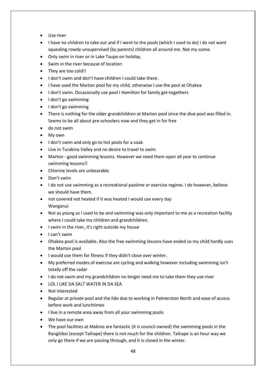- Use river
- I have no children to take out and if I went to the pools (which I used to do) I do not want squealing rowdy unsupervised (by parents) children all around me. Not my scene.
- Only swim in river or in Lake Taupo on holiday.
- Swim in the river because of location
- They are too cold!!
- I don't swim and don't have children I could take there.
- I have used the Marton pool for my child, otherwise I use the pool at Ohakea
- I don't swim. Occasionally use pool I Hamilton for family get-togethers
- I don't go swimming
- I don't go swimming
- There is nothing for the older grandchildren at Marton pool since the dive pool was filled in. Seems to be all about pre-schoolers now and they get in for free
- do not swim
- My own
- I don't swim and only go to hot pools for a soak
- Live in Turakina Valley and no desire to travel to swim
- Marton good swimming lessons. However we need them open all year to continue swimming lessons!!
- Chlorine levels are unbearable
- Don't swim
- I do not use swimming as a recreational pastime or exercise regime. I do however, believe we should have them.
- not covered not heated if it was heated I would use every day Wanganui
- Not as young as I used to be and swimming was only important to me as a recreation facility where I could take my children and grandchildren.
- I swim in the river, it's right outside my house
- I can't swim
- Ohakea pool is available. Also the free swimming lessons have ended so my child hardly uses the Marton pool
- I would use them for fitness if they didn't close over winter.
- My preferred modes of exercise are cycling and walking however including swimming isn't totally off the radar
- I do not swim and my grandchildren no longer need me to take them they use river
- LOL I LIKE DA SALT WATER IN DA SEA
- Not interested
- Regular at private pool and the lido due to working in Palmerston North and ease of access before work and lunchtimes
- I live in a remote area away from all your swimming pools
- We have our own
- The pool facilities at Makino are fantastic (it is council owned) the swimming pools in the Rangitikei (except Taihape) there is not much for the children. Taihape is an hour way we only go there if we are passing through, and it is closed in the winter.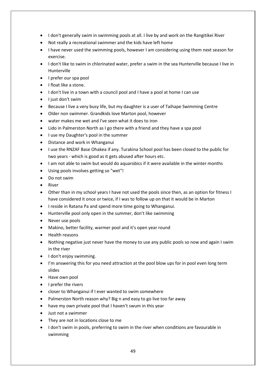- I don't generally swim in swimming pools at all. I live by and work on the Rangitikei River
- Not really a recreational swimmer and the kids have left home
- I have never used the swimming pools, however I am considering using them next season for exercise.
- I don't like to swim in chlorinated water, prefer a swim in the sea Hunterville because I live in Hunterville
- I prefer our spa pool
- I float like a stone.
- I don't live in a town with a council pool and I have a pool at home I can use
- I just don't swim
- Because I live a very busy life, but my daughter is a user of Taihape Swimming Centre
- Older non swimmer. Grandkids love Marton pool, however
- water makes me wet and I've seen what it does to iron
- Lido in Palmerston North as I go there with a friend and they have a spa pool
- I use my Daughter's pool in the summer
- Distance and work in Whanganui
- I use the RNZAF Base Ohakea if any. Turakina School pool has been closed to the public for two years - which is good as it gets abused after hours etc.
- I am not able to swim but would do aquarobics if it were available in the winter months
- Using pools involves getting so "wet"!
- Do not swim
- **River**
- Other than in my school years I have not used the pools since then, as an option for fitness I have considered it once or twice, if I was to follow up on that it would be in Marton
- I reside in Ratana Pa and spend more time going to Whanganui.
- Hunterville pool only open in the summer, don't like swimming
- Never use pools
- Makino, better facility, warmer pool and it's open year round
- Health reasons
- Nothing negative just never have the money to use any public pools so now and again I swim in the river
- I don't enjoy swimming.
- I'm answering this for you need attraction at the pool blow ups for in pool even long term slides
- Have own pool
- I prefer the rivers
- closer to Whanganui if I ever wanted to swim somewhere
- Palmerston North reason why? Big n and easy to go live too far away
- have my own private pool that I haven't swum in this year
- Just not a swimmer
- They are not in locations close to me
- I don't swim in pools, preferring to swim in the river when conditions are favourable in swimming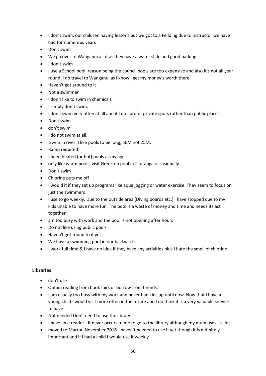- I don't swim, our children having lessons but we got to a Feilding due to instructor we have had for numerous years
- Don't swim
- We go over to Wanganui a lot as they have a water slide and good parking
- I don't swim
- I use a School pool, reason being the council pools are too expensive and also it's not all year round. I do travel to Wanganui as I know I get my money's worth there
- Haven't got around to it
- Not a swimmer
- I don't like to swim in chemicals
- I simply don't swim.
- I don't swim very often at all and if I do I prefer private spots rather than public places.
- Don't swim
- don't swim
- I do not swim at all.
- Swim in river. I like pools to be long, 50M not 25M.
- Ramp required
- I need heated (or hot) pools at my age
- only like warm pools, visit Greerton pool in Tauranga occasionally
- Don't swim
- Chlorine puts me off
- I would it if they set up programs like aqua jogging or water exercise. They seem to focus on just the swimmers
- I use to go weekly. Due to the outside area (Diving boards etc.) I have stopped due to my kids unable to have more fun. The pool is a waste of money and time and needs its act together
- am too busy with work and the pool is not opening after hours
- Do not like using public pools
- Haven't got round to it yet
- We have a swimming pool in our backyard :)
- I work full time & I have no idea if they have any activities plus I hate the smell of chlorine

#### **Libraries**

- don't use
- Obtain reading from book fairs or borrow from friends.
- I am usually too busy with my work and never had kids up until now. Now that I have a young child I would visit more often in the future and I do think it is a very valuable service to have
- [Not needed D](https://www.surveymonkey.net/analyze/b1sT0D0ss7u2UoDm6hPWDoo4Cisb3d8kjEIMTAEN9TE_3D)on't need to use the library
- I have an e reader it never occurs to me to go to the library although my mum uses it a lot
- moved to Marton November 2016 haven't needed to use it yet though it is definitely important and if I had a child I would use it weekly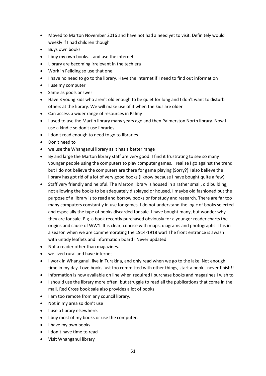- Moved to Marton November 2016 and have not had a need yet to visit. Definitely would weekly if I had children though
- [Buys own books](https://www.surveymonkey.net/analyze/b1sT0D0ss7u2UoDm6hPWDoo4Cisb3d8kjEIMTAEN9TE_3D)
- I buy my own books... and use the internet
- Library are becoming irrelevant in the tech era
- Work in Feilding so use that one
- I have no need to go to the library. Have the internet if I need to find out information
- I use my computer
- Same as pools answer
- Have 3 young kids who aren't old enough to be quiet for long and I don't want to disturb others at the library. We will make use of it when the kids are older
- Can access a wider range of resources in Palmy
- I used to use the Martin library many years ago and then Palmerston North library. Now I use a kindle so don't use libraries.
- I don't read enough to need to go to libraries
- Don't need to
- we use the Whanganui library as it has a better range
- By and large the Marton library staff are very good. I find it frustrating to see so many younger people using the computers to play computer games. I realize I go against the trend but I do not believe the computers are there for game playing (Sorry?) I also believe the library has got rid of a lot of very good books (I know because I have bought quite a few)
- Staff very friendly and helpful. The Marton library is housed in a rather small, old building, not allowing the books to be adequately displayed or housed. I maybe old fashioned but the purpose of a library is to read and borrow books or for study and research. There are far too many computers constantly in use for games. I do not understand the logic of books selected and especially the type of books discarded for sale. I have bought many, but wonder why they are for sale. E.g. a book recently purchased obviously for a younger reader charts the origins and cause of WW1. It is clear, concise with maps, diagrams and photographs. This in a season when we are commemorating the 1914-1918 war! The front entrance is awash with untidy leaflets and information board? Never updated.
- Not a reader other than magazines.
- we lived rural and have internet
- I work in Whanganui, live in Turakina, and only read when we go to the lake. Not enough time in my day. Love books just too committed with other things, start a book - never finish!!
- Information is now available on line when required I purchase books and magazines I wish to
- I should use the library more often, but struggle to read all the publications that come in the mail. Red Cross book sale also provides a lot of books.
- I am too remote from any council library.
- Not in my area so don't use
- I use a library elsewhere.
- I buy most of my books or use the computer.
- I have my own books.
- I don't have time to read
- Visit Whanganui library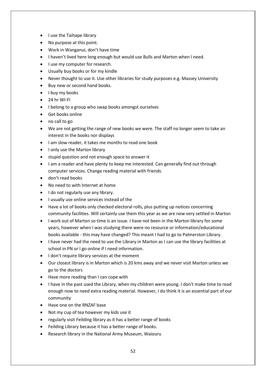- I use the Taihape library
- No purpose at this point.
- Work in Wanganui, don't have time
- I haven't lived here long enough but would use Bulls and Marton when I need.
- I use my computer for research.
- Usually buy books or for my kindle
- Never thought to use it. Use other libraries for study purposes e.g. Massey University
- Buy new or second hand books.
- I buy my books
- 24 hr WI-FI
- I belong to a group who swap books amongst ourselves
- Get books online
- no call to go
- We are not getting the range of new books we were. The staff no longer seem to take an interest in the books nor displays
- I am slow reader, it takes me months to read one book
- I only use the Marton library
- stupid question and not enough space to answer it
- I am a reader and have plenty to keep me interested. Can generally find out through computer services. Change reading material with friends.
- don't read books
- No need to with Internet at home
- I do not regularly use any library.
- I usually use online services instead of the
- Have a lot of books only checked electoral rolls, plus putting up notices concerning community facilities. Will certainly use them this year as we are now very settled in Marton
- I work out of Marton so time is an issue. I have not been in the Marton library for some years, however when I was studying there were no resource or information/educational books available - this may have changed? This meant I had to go to Palmerston Library.
- I have never had the need to use the Library in Marton as I can use the library facilities at school in PN or I go online if I need information.
- I don't require library services at the moment
- Our closest library is in Marton which is 20 kms away and we never visit Marton unless we go to the doctors
- Have more reading than I can cope with
- I have in the past used the Library, when my children were young. I don't make time to read enough now to need extra reading material. However, I do think it is an essential part of our community
- Have one on the RNZAF base
- Not my cup of tea however my kids use it
- regularly visit Feilding library as it has a better range of books
- Feilding Library because it has a better range of books.
- Research library in the National Army Museum, Waiouru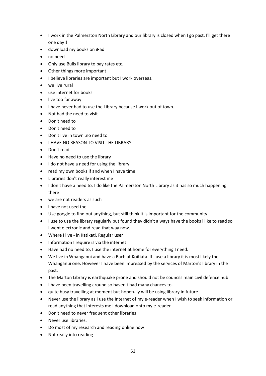- I work in the Palmerston North Library and our library is closed when I go past. I'll get there one day!!
- download my books on iPad
- no need
- Only use Bulls library to pay rates etc.
- Other things more important
- I believe libraries are important but I work overseas.
- we live rural
- use internet for books
- live too far away
- I have never had to use the Library because I work out of town.
- Not had the need to visit
- Don't need to
- Don't need to
- Don't live in town ,no need to
- I HAVE NO REASON TO VISIT THE LIBRARY
- Don't read.
- Have no need to use the library
- I do not have a need for using the library.
- read my own books if and when I have time
- Libraries don't really interest me
- I don't have a need to. I do like the Palmerston North Library as it has so much happening there
- we are not readers as such
- l have not used the
- Use google to find out anything, but still think it is important for the community
- I use to use the library regularly but found they didn't always have the books l like to read so I went electronic and read that way now.
- Where I live in Katikati. Regular user
- Information I require is via the internet
- Have had no need to, I use the internet at home for everything I need.
- We live in Whanganui and have a Bach at Koitiata. If I use a library it is most likely the Whanganui one. However I have been impressed by the services of Marton's library in the past.
- The Marton Library is earthquake prone and should not be councils main civil defence hub
- I have been travelling around so haven't had many chances to.
- quite busy travelling at moment but hopefully will be using library in future
- Never use the library as I use the Internet of my e-reader when I wish to seek information or read anything that interests me I download onto my e-reader
- Don't need to never frequent other libraries
- Never use libraries.
- Do most of my research and reading online now
- Not really into reading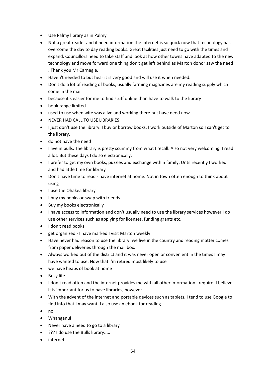- Use Palmy library as in Palmy
- Not a great reader and if need information the Internet is so quick now that technology has overcome the day to day reading books. Great facilities just need to go with the times and expand. Councillors need to take staff and look at how other towns have adapted to the new technology and move forward one thing don't get left behind as Marton donor saw the need . Thank you Mr Carnegie.
- Haven't needed to but hear it is very good and will use it when needed.
- Don't do a lot of reading of books, usually farming magazines are my reading supply which come in the mail
- because it's easier for me to find stuff online than have to walk to the library
- book range limited
- used to use when wife was alive and working there but have need now
- NEVER HAD CALL TO USE LIBRARIES
- I just don't use the library. I buy or borrow books. I work outside of Marton so I can't get to the library.
- do not have the need
- I live in bulls. The library is pretty scummy from what I recall. Also not very welcoming. I read a lot. But these days I do so electronically.
- I prefer to get my own books, puzzles and exchange within family. Until recently I worked and had little time for library
- Don't have time to read have internet at home. Not in town often enough to think about using
- I use the Ohakea library
- I buy my books or swap with friends
- Buy my books electronically
- I have access to information and don't usually need to use the library services however I do use other services such as applying for licenses, funding grants etc.
- I don't read books
- get organized I have marked I visit Marton weekly
- Have never had reason to use the library .we live in the country and reading matter comes from paper deliveries through the mail box.
- Always worked out of the district and it was never open or convenient in the times I may have wanted to use. Now that I'm retired most likely to use
- we have heaps of book at home
- **Busy life**
- I don't read often and the internet provides me with all other information I require. I believe it is important for us to have libraries, however.
- With the advent of the internet and portable devices such as tablets, I tend to use Google to find info that I may want. I also use an ebook for reading.
- no
- Whanganui
- Never have a need to go to a library
- ??? I do use the Bulls library.....
- internet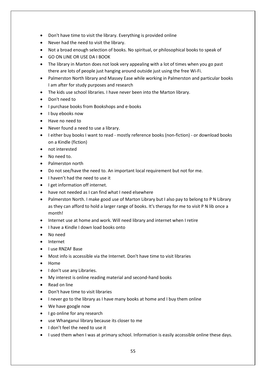- Don't have time to visit the library. Everything is provided online
- Never had the need to visit the library.
- Not a broad enough selection of books. No spiritual, or philosophical books to speak of
- GO ON LINE OR USE DA I BOOK
- The library in Marton does not look very appealing with a lot of times when you go past there are lots of people just hanging around outside just using the free Wi-Fi.
- Palmerston North library and Massey Ease while working in Palmerston and particular books I am after for study purposes and research
- The kids use school libraries. I have never been into the Marton library.
- Don't need to
- I purchase books from Bookshops and e-books
- I buy ebooks now
- Have no need to
- Never found a need to use a library.
- I either buy books I want to read mostly reference books (non-fiction) or download books on a Kindle (fiction)
- not interested
- No need to.
- Palmerston north
- Do not see/have the need to. An important local requirement but not for me.
- I haven't had the need to use it
- I get information off internet.
- have not needed as I can find what I need elsewhere
- Palmerston North. I make good use of Marton Library but I also pay to belong to P N Library as they can afford to hold a larger range of books. It's therapy for me to visit P N lib once a month!
- Internet use at home and work. Will need library and internet when I retire
- I have a Kindle I down load books onto
- No need
- **Internet**
- I use RNZAF Base
- Most info is accessible via the Internet. Don't have time to visit libraries
- Home
- I don't use any Libraries.
- My interest is online reading material and second-hand books
- Read on line
- Don't have time to visit libraries
- I never go to the library as I have many books at home and I buy them online
- We have google now
- I go online for any research
- use Whanganui library because its closer to me
- I don't feel the need to use it
- I used them when I was at primary school. Information is easily accessible online these days.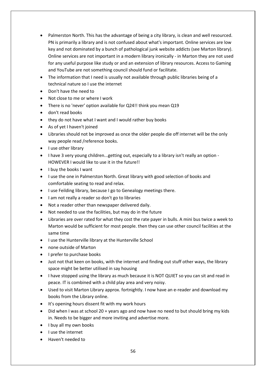- Palmerston North. This has the advantage of being a city library, is clean and well resourced. PN is primarily a library and is not confused about what's important. Online services are low key and not dominated by a bunch of pathological junk website addicts (see Marton library). Online services are not important in a modern library ironically - in Marton they are not used for any useful purpose like study or and an extension of library resources. Access to Gaming and YouTube are not something council should fund or facilitate.
- The information that I need is usually not available through public libraries being of a technical nature so I use the internet
- Don't have the need to
- Not close to me or where I work
- There is no 'never' option available for Q24!! think you mean Q19
- don't read books
- they do not have what I want and I would rather buy books
- As of yet I haven't joined
- Libraries should not be improved as once the older people die off internet will be the only way people read /reference books.
- I use other library
- I have 3 very young children...getting out, especially to a library isn't really an option HOWEVER I would like to use it in the future!!
- I buy the books I want
- I use the one in Palmerston North. Great library with good selection of books and comfortable seating to read and relax.
- I use Feilding library, because I go to Genealogy meetings there.
- I am not really a reader so don't go to libraries
- Not a reader other than newspaper delivered daily.
- Not needed to use the facilities, but may do in the future
- Libraries are over rated for what they cost the rate payer in bulls. A mini bus twice a week to Marton would be sufficient for most people. then they can use other council facilities at the same time
- I use the Hunterville library at the Hunterville School
- none outside of Marton
- I prefer to purchase books
- Just not that keen on books, with the internet and finding out stuff other ways, the library space might be better utilised in say housing
- I have stopped using the library as much because it is NOT QUIET so you can sit and read in peace. IT is combined with a child play area and very noisy.
- Used to visit Marton Library approx. fortnightly. I now have an e-reader and download my books from the Library online.
- It's opening hours dissent fit with my work hours
- Did when I was at school 20 + years ago and now have no need to but should bring my kids in. Needs to be bigger and more inviting and advertise more.
- I buy all my own books
- I use the internet
- Haven't needed to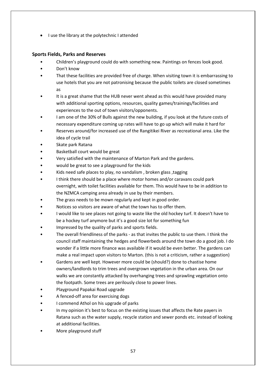• I use the library at the polytechnic I attended

### **Sports Fields, Parks and Reserves**

- Children's playground could do with something new. Paintings on fences look good.
- Don't know
- That these facilities are provided free of charge. When visiting town it is embarrassing to use hotels that you are not patronising because the public toilets are closed sometimes as
- It is a great shame that the HUB never went ahead as this would have provided many with additional sporting options, resources, quality games/trainings/facilities and experiences to the out of town visitors/opponents.
- I am one of the 30% of Bulls against the new building, if you look at the future costs of necessary expenditure coming up rates will have to go up which will make it hard for
- Reserves around/for increased use of the Rangitikei River as recreational area. Like the idea of cycle trail
- Skate park Ratana
- Basketball court would be great
- Very satisfied with the maintenance of Marton Park and the gardens.
- would be great to see a playground for the kids
- Kids need safe places to play, no vandalism , broken glass ,tagging
- I think there should be a place where motor homes and/or caravans could park overnight, with toilet facilities available for them. This would have to be in addition to the NZMCA camping area already in use by their members.
- The grass needs to be mown regularly and kept in good order.
- Notices so visitors are aware of what the town has to offer them.
- I would like to see places not going to waste like the old hockey turf. It doesn't have to be a hockey turf anymore but it's a good size lot for something fun
- Impressed by the quality of parks and sports fields.
- The overall friendliness of the parks as that invites the public to use them. I think the council staff maintaining the hedges and flowerbeds around the town do a good job. I do wonder if a little more finance was available if it would be even better. The gardens can make a real impact upon visitors to Marton. (this is not a criticism, rather a suggestion)
- Gardens are well kept. However more could be (should?) done to chastise home owners/landlords to trim trees and overgrown vegetation in the urban area. On our walks we are constantly attacked by overhanging trees and sprawling vegetation onto the footpath. Some trees are perilously close to power lines.
- Playground Papakai Road upgrade
- A fenced-off area for exercising dogs
- I commend Athol on his upgrade of parks
- In my opinion it's best to focus on the existing issues that affects the Rate payers in Ratana such as the water supply, recycle station and sewer ponds etc. instead of looking at additional facilities.
- More playground stuff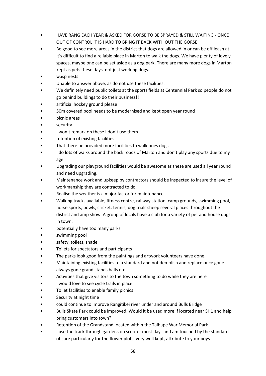- HAVE RANG EACH YEAR & ASKED FOR GORSE TO BE SPRAYED & STILL WAITING ONCE OUT OF CONTROL IT IS HARD TO BRING IT BACK WITH OUT THE GORSE
- Be good to see more areas in the district that dogs are allowed in or can be off leash at. It's difficult to find a reliable place in Marton to walk the dogs. We have plenty of lovely spaces, maybe one can be set aside as a dog park. There are many more dogs in Marton kept as pets these days, not just working dogs.
- wasp nests
- Unable to answer above, as do not use these facilities.
- We definitely need public toilets at the sports fields at Centennial Park so people do not go behind buildings to do their business!!
- artificial hockey ground please
- 50m covered pool needs to be modernised and kept open year round
- picnic areas
- security
- I won't remark on these I don't use them
- retention of existing facilities
- That there be provided more facilities to walk ones dogs
- I do lots of walks around the back roads of Marton and don't play any sports due to my age
- Upgrading our playground facilities would be awesome as these are used all year round and need upgrading.
- Maintenance work and upkeep by contractors should be inspected to insure the level of workmanship they are contracted to do.
- Realise the weather is a major factor for maintenance
- Walking tracks available, fitness centre, railway station, camp grounds, swimming pool, horse sports, bowls, cricket, tennis, dog trials sheep several places throughout the district and amp show. A group of locals have a club for a variety of pet and house dogs in town.
- potentially have too many parks
- swimming pool
- safety, toilets, shade
- Toilets for spectators and participants
- The parks look good from the paintings and artwork volunteers have done.
- Maintaining existing facilities to a standard and not demolish and replace once gone always gone grand stands halls etc.
- Activities that give visitors to the town something to do while they are here
- I would love to see cycle trails in place.
- Toilet facilities to enable family picnics
- Security at night time
- could continue to improve Rangitikei river under and around Bulls Bridge
- Bulls Skate Park could be improved. Would it be used more if located near SH1 and help bring customers into town?
- Retention of the Grandstand located within the Taihape War Memorial Park
- I use the track through gardens on scooter most days and am touched by the standard of care particularly for the flower plots, very well kept, attribute to your boys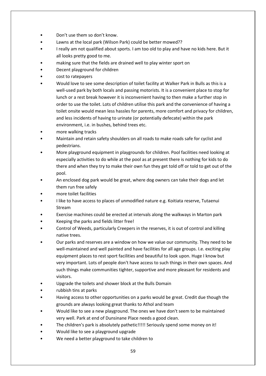- Don't use them so don't know.
- Lawns at the local park (Wilson Park) could be better mowed??
- I really am not qualified about sports. I am too old to play and have no kids here. But it all looks pretty good to me.
- making sure that the fields are drained well to play winter sport on
- Decent playground for children
- cost to ratepayers
- Would love to see some description of toilet facility at Walker Park in Bulls as this is a well-used park by both locals and passing motorists. It is a convenient place to stop for lunch or a rest break however it is inconvenient having to then make a further stop in order to use the toilet. Lots of children utilise this park and the convenience of having a toilet onsite would mean less hassles for parents, more comfort and privacy for children, and less incidents of having to urinate (or potentially defecate) within the park environment, i.e. in bushes, behind trees etc.
- more walking tracks
- Maintain and retain safety shoulders on all roads to make roads safe for cyclist and pedestrians.
- More playground equipment in playgrounds for children. Pool facilities need looking at especially activities to do while at the pool as at present there is nothing for kids to do there and when they try to make their own fun they get told off or told to get out of the pool.
- An enclosed dog park would be great, where dog owners can take their dogs and let them run free safely
- more toilet facilities
- I like to have access to places of unmodified nature e.g. Koitiata reserve, Tutaenui Stream
- Exercise machines could be erected at intervals along the walkways in Marton park
- Keeping the parks and fields litter free!
- Control of Weeds, particularly Creepers in the reserves, it is out of control and killing native trees.
- Our parks and reserves are a window on how we value our community. They need to be well-maintained and well painted and have facilities for all age groups. I.e. exciting play equipment places to rest sport facilities and beautiful to look upon. Huge I know but very important. Lots of people don't have access to such things in their own spaces. And such things make communities tighter, supportive and more pleasant for residents and visitors.
- Upgrade the toilets and shower block at the Bulls Domain
- rubbish tins at parks
- Having access to other opportunities on a parks would be great. Credit due though the grounds are always looking great thanks to Athol and team
- Would like to see a new playground. The ones we have don't seem to be maintained very well. Park at end of Dunsinane Place needs a good clean.
- The children's park is absolutely pathetic!!!!! Seriously spend some money on it!
- Would like to see a playground upgrade
- We need a better playground to take children to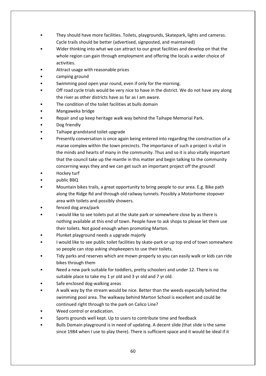- They should have more facilities. Toilets, playgrounds, Skatepark, lights and cameras. Cycle trails should be better (advertised, signposted, and maintained)
- Wider thinking into what we can attract to our great facilities and develop on that the whole region can gain through employment and offering the locals a wider choice of activities.
- Attract usage with reasonable prices
- camping ground
- Swimming pool open year round, even if only for the morning.
- Off road cycle trials would be very nice to have in the district. We do not have any along the river as other districts have as far as I am aware.
- The condition of the toilet facilities at bulls domain
- Mangaweka bridge
- Repair and up keep heritage walk way behind the Taihape Memorial Park.
- Dog friendly
- Taihape grandstand toilet upgrade
- Presently conversation is once again being entered into regarding the construction of a marae complex within the town precincts. The importance of such a project is vital in the minds and hearts of many in the community. Thus and so it is also vitally important that the council take up the mantle in this matter and begin talking to the community concerning ways they and we can get such an important project off the ground!
- Hockey turf
- public BBQ
- Mountain bikes trails, a great opportunity to bring people to our area. E.g. Bike path along the Ridge Rd and through old railway tunnels. Possibly a Motorhome stopover area with toilets and possibly showers.
- fenced dog area/park
- I would like to see toilets put at the skate park or somewhere close by as there is nothing available at this end of town. People have to ask shops to please let them use their toilets. Not good enough when promoting Marton.
- Plunket playground needs a upgrade majorly
- I would like to see public toilet facilities by skate-park or up top end of town somewhere so people can stop asking shopkeepers to use their toilets.
- Tidy parks and reserves which are mown properly so you can easily walk or kids can ride bikes through them
- Need a new park suitable for toddlers, pretty schoolers and under 12. There is no suitable place to take my 1 yr old and 3 yr old and 7 yr old.
- Safe enclosed dog-walking areas
- A walk way by the stream would be nice. Better than the weeds especially behind the swimming pool area. The walkway behind Marton School is excellent and could be continued right through to the park on Calico Line?
- Weed control or eradication.
- Sports grounds well kept. Up to users to contribute time and feedback
- Bulls Domain playground is in need of updating. A decent slide (that slide is the same since 1984 when I use to play there). There is sufficient space and it would be ideal if it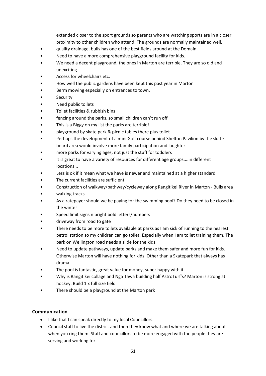extended closer to the sport grounds so parents who are watching sports are in a closer proximity to other children who attend. The grounds are normally maintained well.

- quality drainage, bulls has one of the best fields around at the Domain
- Need to have a more comprehensive playground facility for kids.
- We need a decent playground, the ones in Marton are terrible. They are so old and unexciting
- Access for wheelchairs etc.
- How well the public gardens have been kept this past year in Marton
- Berm mowing especially on entrances to town.
- **Security**
- Need public toilets
- Toilet facilities & rubbish bins
- fencing around the parks, so small children can't run off
- This is a Biggy on my list the parks are terrible!
- playground by skate park & picnic tables there plus toilet
- Perhaps the development of a mini Golf course behind Shelton Pavilion by the skate board area would involve more family participation and laughter.
- more parks for varying ages, not just the stuff for toddlers
- It is great to have a variety of resources for different age groups....in different locations...
- Less is ok if it mean what we have is newer and maintained at a higher standard
- The current facilities are sufficient
- Construction of walkway/pathway/cycleway along Rangitikei River in Marton Bulls area
- walking tracks
- As a ratepayer should we be paying for the swimming pool? Do they need to be closed in the winter
- Speed limit signs n bright bold letters/numbers
- driveway from road to gate
- There needs to be more toilets available at parks as I am sick of running to the nearest petrol station so my children can go toilet. Especially when I am toilet training them. The park on Wellington road needs a slide for the kids.
- Need to update pathways, update parks and make them safer and more fun for kids. Otherwise Marton will have nothing for kids. Other than a Skatepark that always has drama.
- The pool is fantastic, great value for money, super happy with it.
- Why is Rangitikei collage and Nga Tawa building half AstroTurf's? Marton is strong at hockey. Build 1 x full size field
- There should be a playground at the Marton park

## **Communication**

- I like that I can speak directly to my local Councillors.
- Council staff to live the district and then they know what and where we are talking about when you ring them. Staff and councillors to be more engaged with the people they are serving and working for.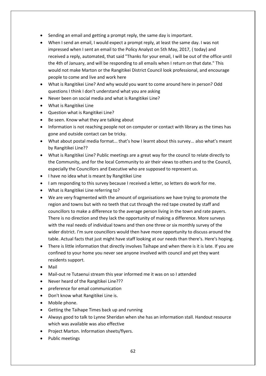- Sending an email and getting a prompt reply, the same day is important.
- When I send an email, I would expect a prompt reply, at least the same day. I was not impressed when I sent an email to the Policy Analyst on 5th May, 2017, ( today) and received a reply, automated, that said "Thanks for your email, I will be out of the office until the 4th of January, and will be responding to all emails when I return on that date." This would not make Marton or the Rangitikei District Council look professional, and encourage people to come and live and work here
- What is Rangitikei Line? And why would you want to come around here in person? Odd questions I think I don't understand what you are asking
- Never been on social media and what is Rangitikei Line?
- What is Rangitikei Line
- Question what is Rangitikei Line?
- Be seen. Know what they are talking about
- Information is not reaching people not on computer or contact with library as the times has gone and outside contact can be tricky.
- What about postal media format... that's how I learnt about this survey... also what's meant by Rangitikei Line??
- What is Rangitikei Line? Public meetings are a great way for the council to relate directly to the Community, and for the local Community to air their views to others and to the Council, especially the Councillors and Executive who are supposed to represent us.
- I have no idea what is meant by Rangitikei Line
- I am responding to this survey because I received a letter, so letters do work for me.
- What is Rangitikei Line referring to?
- We are very fragmented with the amount of organisations we have trying to promote the region and towns but with no teeth that cut through the red tape created by staff and councillors to make a difference to the average person living in the town and rate payers. There is no direction and they lack the opportunity of making a difference. More surveys with the real needs of individual towns and then one three or six monthly survey of the wider district. I'm sure councillors would then have more opportunity to discuss around the table. Actual facts that just might have staff looking at our needs than there's. Here's hoping.
- There is little information that directly involves Taihape and when there is it is late. If you are confined to your home you never see anyone involved with council and yet they want residents support.
- Mail
- Mail-out re Tutaenui stream this year informed me it was on so I attended
- Never heard of the Rangitikei Line???
- preference for email communication
- Don't know what Rangitikei Line is.
- Mobile phone.
- Getting the Taihape Times back up and running
- Always good to talk to Lynne Sheridan when she has an information stall. Handout resource which was available was also effective
- Project Marton. Information sheets/flyers.
- Public meetings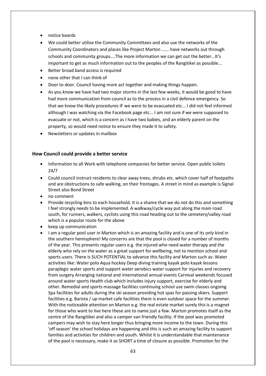- notice boards
- We could better utilise the Community Committees and also use the networks of the Community Coordinators and places like Project Marton ...... have networks out through schools and community groups....The more information we can get out the better...It's important to get as much information out to the peoples of the Rangitikei as possible...
- Better broad band access is required
- none other that I can think of
- Door to door. Council having more act together and making things happen.
- As you know we have had two major storms in the last few weeks, it would be good to have had more communication from council as to the process in a civil defence emergency. So that we know the likely procedures IF we were to be evacuated etc... I did not feel informed although I was watching via the Facebook page etc... I am not sure if we were supposed to evacuate or not, which is a concern as I have two babies, and an elderly parent on the property, so would need notice to ensure they made it to safety.
- Newsletters or updates in mailbox

#### **How Council could provide a better service**

- Information to all Work with telephone companies for better service. Open public toilets 24/7
- Could council instruct residents to clear away trees, shrubs etc. which cover half of footpaths and are obstructions to safe walking, on their frontages. A street in mind as example is Signal Street also Bond Street
- no comment
- Provide recycling bins to each household. It is a shame that we do not do this and something I feel strongly needs to be implemented. A walkway/cycle way put along the main road south, for runners, walkers, cyclists using this road heading out to the cemetery/valley road which is a popular route for the above
- keep up communication
- I am a regular pool user in Marton which is an amazing facility and is one of its only kind in the southern hemisphere! My concerns are that the pool is closed for a number of months of the year. This prevents regular users e.g. the injured who need water therapy and the elderly who rely on the water as a great support for wellbeing, not to mention school and sports users. There is SUCH POTENTIAL to advance this facility and Marton such as: Water activities like: Water polo Aqua hockey Deep diving training kayak polo kayak lessons paraplegic water sports and support water aerobics water support for injuries and recovery from surgery Arranging national and international annual events Carnival weekends focused around water sports Health club which includes injury support, exercise for elderly and other. Remedial and sports massage facilities continuing school use swim classes ongoing Spa facilities for adults during the ski season providing hot spas for passing skiers. Support facilities e.g. Barista / up market cafe facilities there is even outdoor space for the summer. With the noticeable attention on Marton e.g. the real estate market surely this is a magnet for those who want to live here these are to name just a few. Marton promotes itself as the centre of the Rangitikei and also a camper van friendly facility. If the pool was promoted campers may wish to stay here longer thus bringing more income to the town. During this 'off season' the school holidays are happening and this is such an amazing facility to support families and activities for children and youth. Whilst it is understandable that maintenance of the pool is necessary, make it as SHORT a time of closure as possible. Promotion for the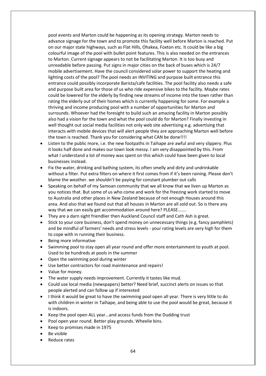pool events and Marton could be happening as its opening strategy. Marton needs to advance signage for the town and to promote this facility well before Marton is reached. Put on our major state highways, such as Flat Hills, Ohakea, Foxton etc. It could be like a big colourful image of the pool with bullet point features. This is also needed on the entrances to Marton. Current signage appears to not be facilitating Marton. It is too busy and unreadable before passing. Put signs in major cities on the back of buses which is 24/7 mobile advertisement. Have the council considered solar power to support the heating and lighting costs of the pool? The pool needs an INVITING and purpose built entrance this entrance could possibly incorporate Barista/cafe facilities. The pool facility also needs a safe and purpose built area for those of us who ride expensive bikes to the facility. Maybe rates could be lowered for the elderly by finding new streams of income into the town rather than rating the elderly out of their homes which is currently happening for some. For example a thriving and income producing pool with a number of opportunities for Marton and surrounds. Whoever had the foresight to build such an amazing facility in Marton possibly also had a vision for the town and what the pool could do for Marton? Finally investing in well thought out social media facilities not only web site advertising e.g. advertising that interacts with mobile devices that will alert people they are approaching Marton well before the town is reached. Thank you for considering what CAN be done!!!!

- Listen to the public more, i.e. the new footpaths in Taihape are awful and very slippery. Plus it looks half done and makes our town look messy. I am very disappointed by this. From what I understand a lot of money was spent on this which could have been given to local businesses instead.
- Fix the water, drinking and bathing system, its often smelly and dirty and undrinkable without a filter. Put extra filters on where it first comes from if it's been raining. Please don't blame the weather. we shouldn't be paying for constant plumber out calls
- Speaking on behalf of my Samoan community that we all know that we liven up Marton as you notices that. But some of us who come and work for the freezing work started to move to Australia and other places in New Zealand because of not enough Houses around this area. And also that we found out that all houses in Marton are all sold out. So is there any way that we can easily get accommodation around here? PLEASE.......
- They are a darn sight friendlier then Auckland Council staff and Cath Ash is great.
- Stick to your core business, don't spend money on unnecessary things (e.g. fancy pamphlets) and be mindful of farmers' needs and stress levels - your rating levels are very high for them to cope with in running their business.
- Being more informative
- Swimming pool to stay open all year round and offer more entertainment to youth at pool. Used to be hundreds at pools in the summer
- Open the swimming pool during winter
- Use better contractors for road maintenance and repairs!
- Value for money.
- The water supply needs improvement. Currently it tastes like mud.
- Could use local media (newspapers) better? Need brief, succinct alerts on issues so that people alerted and can follow up if interested
- I think it would be great to have the swimming pool open all year. There is very little to do with children in winter in Taihape, and being able to use the pool would be great, because it is indoors.
- Keep the pool open ALL year...and access funds from the Dudding trust
- Pool open year round. Better play grounds. Wheelie bins.
- Keep to promises made in 1975
- Be visible
- Reduce rates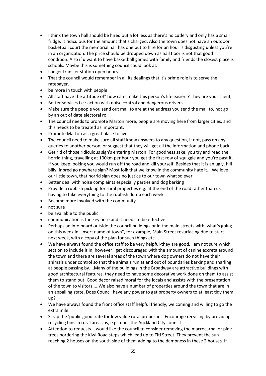- I think the town hall should be hired out a lot less as there's no cutlery and only has a small fridge. It ridiculous for the amount that's charged. Also the town does not have an outdoor basketball court the memorial hall has one but to hire for an hour is disgusting unless you're in an organization. The price should be dropped down as hall floor is not that good condition. Also if u want to have basketball games with family and friends the closest place is schools. Maybe this is something council could look at.
- Longer transfer station open hours
- That the council would remember in all its dealings that it's prime role is to serve the ratepayer.
- be more in touch with people
- All staff have the attitude of" how can I make this person's life easier"? They are your client,
- Better services i.e.: action with noise control and dangerous drivers.
- Make sure the people you send out mail to are at the address you send the mail to, not go by an out of date electoral roll
- The council needs to promote Marton more, people are moving here from larger cities, and this needs to be treated as important.
- Promote Marton as a great place to live.
- The council need to make sure all staff know answers to any question, if not, pass on any queries to another person, or suggest that they will get all the information and phone back.
- Get rid of those ridiculous sign's entering Marton. For goodness sake, you try and read the horrid thing, travelling at 100km per hour you get the first row of squiggle and you're past it. If you keep looking you would run off the road and kill yourself. Besides that it is an ugly, hill billy, inbred go nowhere sign? Most folk that we know in the community hate it... We love our little town, that horrid sign does no justice to our town what so ever.
- Better deal with noise complaints especially parties and dog barking
- Provide a rubbish pick up for rural properties e.g. at the end of the road rather than us having to take everything to the rubbish dump each week
- Become more involved with the community
- not sure
- be available to the public
- communication is the key here and it needs to be effective
- Perhaps an info board outside the council buildings or in the main streets with, what's going on this week in "insert name of town", for example, Main Street resurfacing due to start next week, with a copy of the plan for such things etc.
- We have always found the office staff to be very helpful-they are good. I am not sure which section to include it in, however I get discouraged with the amount of canine excreta around the town and there are several areas of the town where dog owners do not have their animals under control so that the animals run at and out of boundaries barking and snarling at people passing by....Many of the buildings in the Broadway are attractive buildings with good architectural features, they need to have some decorative work done on them to assist them to stand out. Good decor raised moral for the locals and assists with the presentation of the town to visitors.....We also have a number of properties around the town that are in an appalling state. Does Council have any power to get property owners to at least tidy them up?
- We have always found the front office staff helpful friendly, welcoming and willing to go the extra mile.
- Scrap the 'public good' rate for low value rural properties. Encourage recycling by providing recycling bins in rural areas as, e.g., does the Auckland City council
- Attention to requests. I would like the council to consider removing the macrocarpa, or pine trees bordering the Kiwi Road steps which lead up to Titi Street. They prevent the sun reaching 2 houses on the south side of them adding to the dampness in these 2 houses. If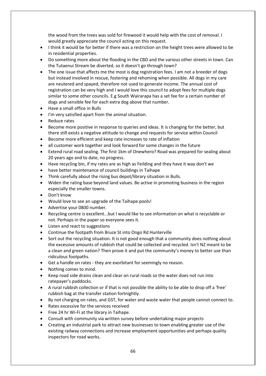the wood from the trees was sold for firewood it would help with the cost of removal. I would greatly appreciate the council acting on this request.

- I think it would be for better if there was a restriction on the height trees were allowed to be in residential properties.
- Do something more about the flooding in the CBD and the various other streets in town. Can the Tutaenui Stream be diverted, so it doesn't go through town?
- The one issue that affects me the most is dog registration fees. I am not a breeder of dogs but instead involved in rescue, fostering and rehoming when possible. All dogs in my care are neutered and spayed, therefore not used to generate income. The annual cost of registration can be very high and I would love this council to adopt fees for multiple dogs similar to some other councils. E.g South Wairarapa has a set fee for a certain number of dogs and sensible fee for each extra dog above that number.
- Have a small office in Bulls
- I'm very satisfied apart from the animal situation.
- Reduce rates
- Become more positive in response to queries and ideas. It is changing for the better, but there still exists a negative attitude to change and requests for service within Council
- Become more efficient and keep rate increases to rate of inflation
- all customer work together and look forward for some changes in the future
- Extend rural road sealing. The first 1km of Onewhero? Road was prepared for sealing about 20 years ago and to date, no progress.
- Have recycling bin, if my rates are as high as Feilding and they have it way don't we
- have better maintenance of council buildings in Taihape
- Think carefully about the rising bus depot/library situation in Bulls.
- Widen the rating base beyond land values. Be active in promoting business in the region especially the smaller towns.
- Don't know
- Would love to see an upgrade of the Taihape pools!
- Advertise your 0800 number.
- Recycling centre is excellent...but l would like to see information on what is recyclable or not. Perhaps in the paper so everyone sees it.
- Listen and react to suggestions
- Continue the footpath from Bruce St into Ongo Rd Hunterville
- Sort out the recycling situation. It is not good enough that a community does nothing about the excessive amounts of rubbish that could be collected and recycled. Isn't NZ meant to be a clean and green nation? Then prove it and put the community's money to better use than ridiculous footpaths.
- Get a handle on rates they are exorbitant for seemingly no reason.
- Nothing comes to mind.
- Keep road side drains clean and clear on rural roads so the water does not run into ratepayer's paddocks.
- A rural rubbish collection or if that is not possible the ability to be able to drop off a 'free' rubbish bag at the transfer station fortnightly.
- By not charging on rates, and GST, for water and waste water that people cannot connect to.
- Rates excessive for the services received
- Free 24 hr Wi-Fi at the library in Taihape.
- Consult with community via written survey before undertaking major projects
- Creating an industrial park to attract new businesses to town enabling greater use of the existing railway connections and increase employment opportunities and perhaps quality inspectors for road works.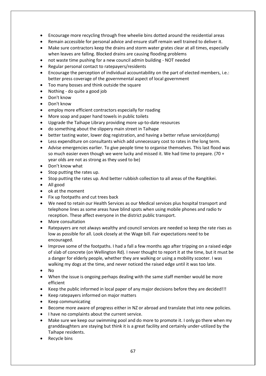- Encourage more recycling through free wheelie bins dotted around the residential areas
- Remain accessible for personal advice and ensure staff remain well trained to deliver it.
- Make sure contractors keep the drains and storm water grates clear at all times, especially when leaves are falling. Blocked drains are causing flooding problems
- not waste time pushing for a new council admin building NOT needed
- Regular personal contact to ratepayers/residents
- Encourage the perception of individual accountability on the part of elected members, i.e.: better press coverage of the governmental aspect of local government
- Too many bosses and think outside the square
- Nothing do quite a good job
- Don't know
- Don't know
- employ more efficient contractors especially for roading
- More soap and paper hand towels in public toilets
- Upgrade the Taihape Library providing more up-to-date resources
- do something about the slippery main street in Taihape
- better tasting water, lower dog registration, and having a better refuse service(dump)
- Less expenditure on consultants which add unnecessary cost to rates in the long term.
- Advise emergencies earlier. To give people time to organise themselves. This last flood was so much easier even though we were lucky and missed it. We had time to prepare. (70 + year olds are not as strong as they used to be)
- Don't know what
- Stop putting the rates up.
- Stop putting the rates up. And better rubbish collection to all areas of the Rangitikei.
- All good
- ok at the moment
- Fix up footpaths and cut trees back
- We need to retain our Health Services as our Medical services plus hospital transport and telephone lines as some areas have blind spots when using mobile phones and radio tv reception. These affect everyone in the district public transport.
- More consultation
- Ratepayers are not always wealthy and council services are needed so keep the rate rises as low as possible for all. Look closely at the Wage bill. Fair expectations need to be encouraged.
- Improve some of the footpaths. I had a fall a few months ago after tripping on a raised edge of slab of concrete (on Wellington Rd). I never thought to report it at the time, but it must be a danger for elderly people, whether they are walking or using a mobility scooter. I was walking my dogs at the time, and never noticed the raised edge until it was too late.
- No
- When the issue is ongoing perhaps dealing with the same staff member would be more efficient
- Keep the public informed in local paper of any major decisions before they are decided!!!
- Keep ratepayers informed on major matters
- Keep communicating
- Become more aware of progress either in NZ or abroad and translate that into new policies.
- I have no complaints about the current service.
- Make sure we keep our swimming pool and do more to promote it. I only go there when my granddaughters are staying but think it is a great facility and certainly under-utilized by the Taihape residents.
- Recycle bins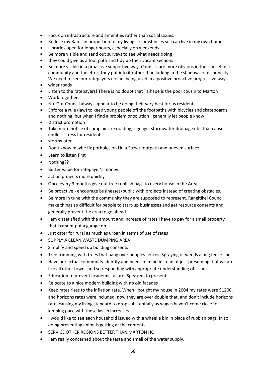- Focus on infrastructure and amenities rather than social issues.
- Reduce my Rates in proportion to my living circumstances so I can live in my own home.
- Libraries open for longer hours, especially on weekends.
- Be more visible and send out surveys to see what needs doing
- they could give us a foot path and tidy up their vacant sections
- Be more visible in a proactive supportive way. Councils are more obvious in their belief in a community and the effort they put into it rather than lurking in the shadows of dishonesty. We need to see our ratepayers dollars being used in a positive proactive progressive way
- wider roads
- Listen to the ratepayers! There is no doubt that Taihape is the poor cousin to Marton
- Work together
- No. Our Council always appear to be doing their very best for us residents.
- Enforce a rule (law) to keep young people off the footpaths with bicycles and skateboards and nothing, but when I find a problem or solution I generally let people know
- District promotion
- Take more notice of complains re roading, signage, stormwater drainage etc. that cause endless stress for residents
- stormwater
- Don't know maybe fix potholes on Huia Street footpath and uneven surface
- Learn to listen first
- Nothing??
- Better value for ratepayer's money.
- action projects more quickly
- Once every 3 months give out free rubbish bags to every house in the Area
- Be proactive encourage businesses/public with projects instead of creating obstacles.
- Be more in tune with the community they are supposed to represent. Rangitikei Council make things so difficult for people to start-up businesses and get resource consents and generally prevent the area to go ahead.
- I am dissatisfied with the amount and increase of rates I have to pay for a small property that I cannot put a garage on.
- Just cater for rural as much as urban in terms of use of rates
- SUPPLY A CLEAN WASTE DUMPING AREA
- Simplify and speed up building consents
- Tree trimming with trees that hang over peoples fences. Spraying of weeds along fence lines
- Have our actual community identity and needs in mind instead of just presuming that we are like all other towns and so responding with appropriate understanding of issues
- Education to prevent academic failure. Speakers to present.
- Relocate to a nice modern building with no old facades
- Keep rates rises to the inflation rate. When I bought my house in 2004 my rates were \$1200, and horizons rates were included, now they are over double that, and don't include horizons rate, causing my living standard to drop substantially as wages haven't come close to keeping pace with these lavish increases.
- I would like to see each household issued with a wheelie bin in place of rubbish bags. In so doing preventing animals getting at the contents.
- SERVICE OTHER REGIONS BETTER THAN MARTON HQ
- I am really concerned about the taste and smell of the water supply.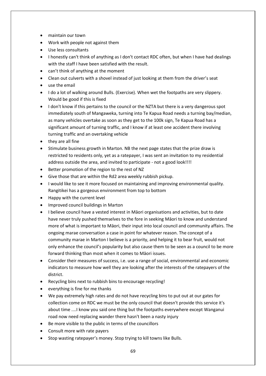- maintain our town
- Work with people not against them
- Use less consultants
- I honestly can't think of anything as I don't contact RDC often, but when I have had dealings with the staff I have been satisfied with the result.
- can't think of anything at the moment
- Clean out culverts with a shovel instead of just looking at them from the driver's seat
- use the email
- I do a lot of walking around Bulls. (Exercise). When wet the footpaths are very slippery. Would be good if this is fixed
- I don't know if this pertains to the council or the NZTA but there is a very dangerous spot immediately south of Mangaweka, turning into Te Kapua Road needs a turning bay/median, as many vehicles overtake as soon as they get to the 100k sign, Te Kapua Road has a significant amount of turning traffic, and I know if at least one accident there involving turning traffic and an overtaking vehicle
- they are all fine
- Stimulate business growth in Marton. NB the next page states that the prize draw is restricted to residents only, yet as a ratepayer, I was sent an invitation to my residential address outside the area, and invited to participate - not a good look!!!!
- Better promotion of the region to the rest of NZ
- Give those that are within the Rd2 area weekly rubbish pickup.
- I would like to see it more focused on maintaining and improving environmental quality. Rangitikei has a gorgeous environment from top to bottom
- Happy with the current level
- Improved council buildings in Marton
- I believe council have a vested interest in Māori organisations and activities, but to date have never truly pushed themselves to the fore in seeking Māori to know and understand more of what is important to Māori, their input into local council and community affairs. The ongoing marae conversation a case in point for whatever reason. The concept of a community marae in Marton I believe is a priority, and helping it to bear fruit, would not only enhance the council's popularity but also cause them to be seen as a council to be more forward thinking than most when it comes to Māori issues.
- Consider their measures of success, i.e. use a range of social, environmental and economic indicators to measure how well they are looking after the interests of the ratepayers of the district.
- Recycling bins next to rubbish bins to encourage recycling!
- everything is fine for me thanks
- We pay extremely high rates and do not have recycling bins to put out at our gates for collection come on RDC we must be the only council that doesn't provide this service it's about time ....I know you said one thing but the footpaths everywhere except Wanganui road now need replacing wander there hasn't been a nasty injury
- Be more visible to the public in terms of the councillors
- Consult more with rate payers
- Stop wasting ratepayer's money. Stop trying to kill towns like Bulls.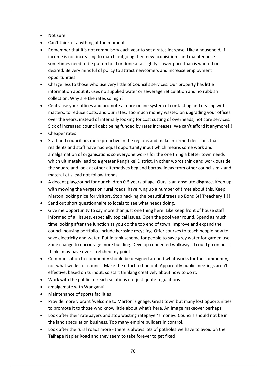- Not sure
- Can't think of anything at the moment
- Remember that it's not compulsory each year to set a rates increase. Like a household, if income is not increasing to match outgoing then new acquisitions and maintenance sometimes need to be put on hold or done at a slightly slower pace than is wanted or desired. Be very mindful of policy to attract newcomers and increase employment opportunities
- Charge less to those who use very little of Council's services. Our property has little information about it, uses no supplied water or sewerage reticulation and no rubbish collection. Why are the rates so high?
- Centralise your offices and promote a more online system of contacting and dealing with matters, to reduce costs, and our rates. Too much money wasted on upgrading your offices over the years, instead of internally looking for cost cutting of overheads, not core services. Sick of increased council debt being funded by rates increases. We can't afford it anymore!!!
- Cheaper rates
- Staff and councillors more proactive in the regions and make informed decisions that residents and staff have had equal opportunity input which means some work and amalgamation of organisations so everyone works for the one thing a better town needs which ultimately lead to a greater Rangitikei District. In other words think and work outside the square and look at other alternatives beg and borrow ideas from other councils mix and match. Let's lead not follow trends.
- A decent playground for our children 0-5 years of age. Ours is an absolute disgrace. Keep up with mowing the verges on rural roads, have rung up a number of times about this. Keep Marton looking nice for visitors. Stop hacking the beautiful trees up Bond St! Treachery!!!!!
- Send out short questionnaire to locals to see what needs doing.
- Give me opportunity to say more than just one thing here. Like keep front of house staff informed of all issues, especially topical issues. Open the pool year round. Spend as much time looking after the junction as you do the top end of town. Improve and expand the council housing portfolio. Include kerbside recycling. Offer courses to teach people how to save electricity and water. Put in tank scheme for people to save grey water for garden use. Zone change to encourage more building. Develop connected walkways. I could go on but I think I may have over stretched my point.
- Communication to community should be designed around what works for the community, not what works for council. Make the effort to find out. Apparently public meetings aren't effective, based on turnout, so start thinking creatively about how to do it.
- Work with the public to reach solutions not just quote regulations
- amalgamate with Wanganui
- Maintenance of sports facilities
- Provide more vibrant 'welcome to Marton' signage. Great town but many lost opportunities to promote it to those who know little about what's here. An image makeover perhaps
- Look after their ratepayers and stop wasting ratepayer's money. Councils should not be in the land speculation business. Too many empire builders in control.
- Look after the rural roads more there is always lots of potholes we have to avoid on the Taihape Napier Road and they seem to take forever to get fixed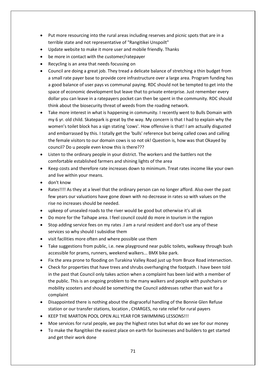- Put more resourcing into the rural areas including reserves and picnic spots that are in a terrible state and not representative of "Rangitikei Unspoilt"
- Update website to make it more user and mobile friendly. Thanks
- be more in contact with the customer/ratepayer
- Recycling is an area that needs focussing on
- Council are doing a great job. They tread a delicate balance of stretching a thin budget from a small rate payer base to provide core infrastructure over a large area. Program funding has a good balance of user pays vs communal paying. RDC should not be tempted to get into the space of economic development but leave that to private enterprise. Just remember every dollar you can leave in a ratepayers pocket can then be spent in the community. RDC should think about the biosecurity threat of weeds from the roading network.
- Take more interest in what is happening in community. I recently went to Bulls Domain with my 6 yr. old child. Skatepark is great by the way. My concern is that I had to explain why the women's toilet block has a sign stating 'cows'. How offensive is that! I am actually disgusted and embarrassed by this. I totally get the 'bulls' reference but being called cows and calling the female visitors to our domain cows is so not ok! Question is, how was that Okayed by council? Do u people even know this is there???
- Listen to the ordinary people in your district. The workers and the battlers not the comfortable established farmers and shining lights of the area
- Keep costs and therefore rate increases down to minimum. Treat rates income like your own and live within your means.
- don't know
- Rates!!!! As they at a level that the ordinary person can no longer afford. Also over the past few years our valuations have gone down with no decrease in rates so with values on the rise no increases should be needed.
- upkeep of unsealed roads to the river would be good but otherwise it's all ok
- Do more for the Taihape area. I feel council could do more in tourism in the region
- Stop adding service fees on my rates .I am a rural resident and don't use any of these services so why should I subsidise them
- visit facilities more often and where possible use them
- Take suggestions from public, i.e. new playground near public toilets, walkway through bush accessible for prams, runners, weekend walkers... BMX bike park.
- Fix the area prone to flooding on Turakina Valley Road just up from Bruce Road intersection.
- Check for properties that have trees and shrubs overhanging the footpath. I have been told in the past that Council only takes action when a complaint has been laid with a member of the public. This is an ongoing problem to the many walkers and people with pushchairs or mobility scooters and should be something the Council addresses rather than wait for a complaint
- Disappointed there is nothing about the disgraceful handling of the Bonnie Glen Refuse station or our transfer stations, location , CHARGES, no rate relief for rural payers
- KEEP THE MARTON POOL OPEN ALL YEAR FOR SWIMMING LESSONS!!!
- Moe services for rural people, we pay the highest rates but what do we see for our money
- To make the Rangitikei the easiest place on earth for businesses and builders to get started and get their work done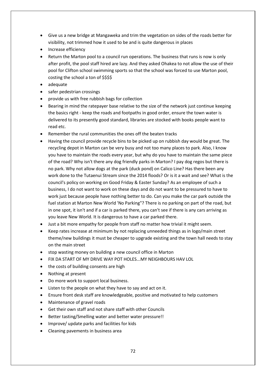- Give us a new bridge at Mangaweka and trim the vegetation on sides of the roads better for visibility, not trimmed how it used to be and is quite dangerous in places
- Increase efficiency
- Return the Marton pool to a council run operations. The business that runs is now is only after profit, the pool staff hired are lazy. And they asked Ohakea to not allow the use of their pool for Clifton school swimming sports so that the school was forced to use Marton pool, costing the school a ton of \$\$\$\$
- adequate
- safer pedestrian crossings
- provide us with free rubbish bags for collection
- Bearing in mind the ratepayer base relative to the size of the network just continue keeping the basics right - keep the roads and footpaths in good order, ensure the town water is delivered to its presently good standard, libraries are stocked with books people want to read etc.
- Remember the rural communities the ones off the beaten tracks
- Having the council provide recycle bins to be picked up on rubbish day would be great. The recycling depot in Marton can be very busy and not too many places to park. Also, I know you have to maintain the roads every year, but why do you have to maintain the same piece of the road? Why isn't there any dog friendly parks in Marton? I pay dog regos but there is no park. Why not allow dogs at the park (duck pond) on Calico Line? Has there been any work done to the Tutaenui Stream since the 2014 floods? Or is it a wait and see? What is the council's policy on working on Good Friday & Easter Sunday? As an employee of such a business, I do not want to work on these days and do not want to be pressured to have to work just because people have nothing better to do. Can you make the car park outside the fuel station at Marton New World 'No Parking"? There is no parking on part of the road, but in one spot, it isn't and if a car is parked there, you can't see if there is any cars arriving as you leave New World. It is dangerous to have a car parked there.
- Just a bit more empathy for people from staff no matter how trivial it might seem.
- Keep rates increase at minimum by not replacing unneeded things as in logo/main street theme/new buildings it must be cheaper to upgrade existing and the town hall needs to stay on the main street
- stop wasting money on building a new council office in Marton
- FIX DA START OF MY DRIVE WAY POT HOLES...MY NEIGHBOURS HAV LOL
- the costs of building consents are high
- Nothing at present
- Do more work to support local business.
- Listen to the people on what they have to say and act on it.
- Ensure front desk staff are knowledgeable, positive and motivated to help customers
- Maintenance of gravel roads
- Get their own staff and not share staff with other Councils
- Better tasting/Smelling water and better water pressure!!
- Improve/ update parks and facilities for kids
- Cleaning pavements in business area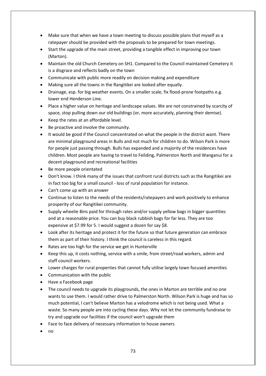- Make sure that when we have a town meeting to discuss possible plans that myself as a ratepayer should be provided with the proposals to be prepared for town meetings.
- Start the upgrade of the main street, providing a tangible effect in improving our town (Marton).
- Maintain the old Church Cemetery on SH1. Compared to the Council maintained Cemetery it is a disgrace and reflects badly on the town
- Communicate with public more readily on decision making and expenditure
- Making sure all the towns in the Rangitikei are looked after equally.
- Drainage, esp. for big weather events. On a smaller scale, fix flood-prone footpaths e.g. lower end Henderson Line.
- Place a higher value on heritage and landscape values. We are not constrained by scarcity of space, stop pulling down our old buildings (or, more accurately, planning their demise).
- Keep the rates at an affordable level.
- Be proactive and involve the community.
- It would be good if the Council concentrated on what the people in the district want. There are minimal playground areas in Bulls and not much for children to do. Wilson Park is more for people just passing through. Bulls has expanded and a majority of the residences have children. Most people are having to travel to Feilding, Palmerston North and Wanganui for a decent playground and recreational facilities
- Be more people orientated
- Don't know. I think many of the issues that confront rural districts such as the Rangitikei are in fact too big for a small council - loss of rural population for instance.
- Can't come up with an answer
- Continue to listen to the needs of the residents/ratepayers and work positively to enhance prosperity of our Rangitikei community.
- Supply wheelie Bins paid for through rates and/or supply yellow bags in bigger quantities and at a reasonable price. You can buy black rubbish bags for far less. They are too expensive at \$7.99 for 5. I would suggest a dozen for say \$8.
- Look after its heritage and protect it for the future so that future generation can embrace them as part of their history. I think the council is careless in this regard.
- Rates are too high for the service we get in Hunterville
- Keep this up, it costs nothing, service with a smile, from street/road workers, admin and staff council workers.
- Lower charges for rural properties that cannot fully utilise largely town focused amenities
- Communication with the public
- Have a Facebook page
- The council needs to upgrade its playgrounds, the ones in Marton are terrible and no one wants to use them. I would rather drive to Palmerston North. Wilson Park is huge and has so much potential, I can't believe Marton has a velodrome which is not being used. What a waste. So many people are into cycling these days. Why not let the community fundraise to try and upgrade our facilities if the council won't upgrade them
- Face to face delivery of necessary information to house owners
- no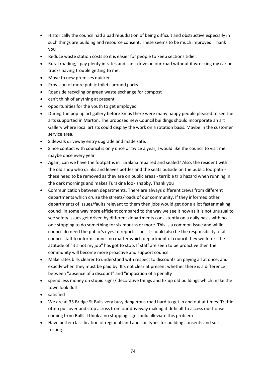- Historically the council had a bad repudiation of being difficult and obstructive especially in such things are building and resource consent. These seems to be much improved. Thank you
- Reduce waste station costs so it is easier for people to keep sections tidier.
- Rural roading, I pay plenty in rates and can't drive on our road without it wrecking my car or trucks having trouble getting to me.
- Move to new premises quicker
- Provision of more public toilets around parks
- Roadside recycling or green waste exchange for compost
- can't think of anything at present
- opportunities for the youth to get employed
- During the pop up art gallery before Xmas there were many happy people pleased to see the arts supported in Marton. The proposed new Council buildings should incorporate an art Gallery where local artists could display the work on a rotation basis. Maybe in the customer service area.
- Sidewalk driveway entry upgrade and made safe.
- Since contact with council is only once or twice a year, I would like the council to visit me, maybe once every year
- Again, can we have the footpaths in Turakina repaired and sealed? Also, the resident with the old shop who drinks and leaves bottles and the seats outside on the public footpath these need to be removed as they are on public areas - terrible trip hazard when running in the dark mornings and makes Turakina look shabby. Thank you
- Communication between departments. There are always different crews from different departments which cruise the streets/roads of our community. If they informed other departments of issues/faults relevant to them then jobs would get done a lot faster making council in some way more efficient compared to the way we see it now as it is not unusual to see safety issues get driven by different departments consistently on a daily basis with no one stopping to do something for six months or more. This is a common issue and while council do need the public's eyes to report issues it should also be the responsibility of all council staff to inform council no matter which department of council they work for. The attitude of "it's not my job" has got to stop. If staff are seen to be proactive then the community will become more proactive and support council.
- Make rates bills clearer to understand with respect to discounts on paying all at once, and exactly when they must be paid by. It's not clear at present whether there is a difference between "absence of a discount" and "imposition of a penalty
- spend less money on stupid signs/ decorative things and fix up old buildings which make the town look dull
- satisfied
- We are at 35 Bridge St Bulls very busy dangerous road hard to get in and out at times. Traffic often pull over and stop across from our driveway making it difficult to access our house coming from Bulls. I think a no stopping sign could alleviate this problem
- Have better classification of regional land and soil types for building consents and soil testing.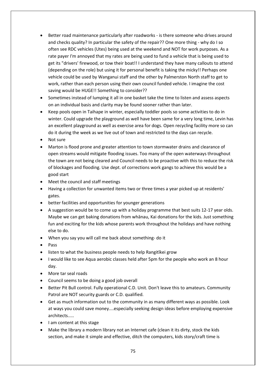- Better road maintenance particularly after roadworks is there someone who drives around and checks quality? In particular the safety of the repair?? One more thing - why do I so often see RDC vehicles (Utes) being used at the weekend and NOT for work purposes. As a rate payer I'm annoyed that my rates are being used to fund a vehicle that is being used to get its "drivers' firewood, or tow their boat!! I understand they have many callouts to attend (depending on the role) but using it for personal benefit is taking the micky!! Perhaps one vehicle could be used by Wanganui staff and the other by Palmerston North staff to get to work, rather than each person using their own council funded vehicle. I imagine the cost saving would be HUGE!! Something to consider??
- Sometimes instead of lumping it all in one basket take the time to listen and assess aspects on an individual basis and clarity may be found sooner rather than later.
- Keep pools open in Taihape in winter, especially toddler pools so some activities to do in winter. Could upgrade the playground as well have been same for a very long time, Levin has an excellent playground as well as exercise area for dogs. Open recycling facility more so can do it during the week as we live out of town and restricted to the days can recycle.
- Not sure
- Marton is flood prone and greater attention to town stormwater drains and clearance of open streams would mitigate flooding issues. Too many of the open waterways throughout the town are not being cleared and Council needs to be proactive with this to reduce the risk of blockages and flooding. Use dept. of corrections work gangs to achieve this would be a good start
- Meet the council and staff meetings
- Having a collection for unwanted items two or three times a year picked up at residents' gates.
- better facilities and opportunities for younger generations
- A suggestion would be to come up with a holiday programme that best suits 12-17 year olds. Maybe we can get baking donations from whānau, Kai donations for the kids. Just something fun and exciting for the kids whose parents work throughout the holidays and have nothing else to do.
- When you say you will call me back about something- do it
- Pass
- listen to what the business people needs to help Rangitīkei grow
- I would like to see Aqua aerobic classes held after 5pm for the people who work an 8 hour day.
- More tar seal roads
- Council seems to be doing a good job overall
- Better Pit Bull control. Fully operational C.D. Unit. Don't leave this to amateurs. Community Patrol are NOT security guards or C.D. qualified.
- Get as much information out to the community in as many different ways as possible. Look at ways you could save money....especially seeking design ideas before employing expensive architects.....
- I am content at this stage
- Make the library a modern library not an Internet cafe (clean it its dirty, stock the kids section, and make it simple and effective, ditch the computers, kids story/craft time is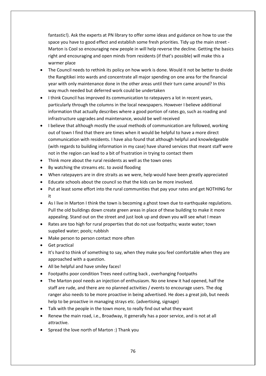fantastic!). Ask the experts at PN library to offer some ideas and guidance on how to use the space you have to good effect and establish some fresh priorities. Tidy up the main street - Marton is Cool so encouraging new people in will help reverse the decline. Getting the basics right and encouraging and open minds from residents (if that's possible) will make this a warmer place

- The Council needs to rethink its policy on how work is done. Would it not be better to divide the Rangitikei into wards and concentrate all major spending on one area for the financial year with only maintenance done in the other areas until their turn came around? In this way much needed but deferred work could be undertaken
- I think Council has improved its communication to ratepayers a lot in recent years, particularly through the columns in the local newspapers. However I believe additional information that actually describes where a good portion of rates go, such as roading and infrastructure upgrades and maintenance, would be well received
- I believe that although mostly the usual methods of communication are followed, working out of town I find that there are times when it would be helpful to have a more direct communication with residents. I have also found that although helpful and knowledgeable (with regards to building information in my case) have shared services that meant staff were not in the region can lead to a bit of frustration in trying to contact them
- Think more about the rural residents as well as the town ones
- By watching the streams etc. to avoid flooding
- When ratepayers are in dire straits as we were, help would have been greatly appreciated
- Educate schools about the council so that the kids can be more involved.
- Put at least some effort into the rural communities that pay your rates and get NOTHING for it
- As I live in Marton I think the town is becoming a ghost town due to earthquake regulations. Pull the old buildings down create green areas in place of these building to make it more appealing. Stand out on the street and just look up and down you will see what I mean
- Rates are too high for rural properties that do not use footpaths; waste water; town supplied water; pools; rubbish
- Make person to person contact more often
- Get practical
- It's hard to think of something to say, when they make you feel comfortable when they are approached with a question.
- All be helpful and have smiley faces!
- Footpaths poor condition Trees need cutting back , overhanging Footpaths
- The Marton pool needs an injection of enthusiasm. No one knew it had opened, half the staff are rude, and there are no planned activities / events to encourage users. The dog ranger also needs to be more proactive in being advertised. He does a great job, but needs help to be proactive in managing strays etc. (advertising, signage)
- Talk with the people in the town more, to really find out what they want
- Renew the main road, i.e., Broadway, it generally has a poor service, and is not at all attractive.
- Spread the love north of Marton :) Thank you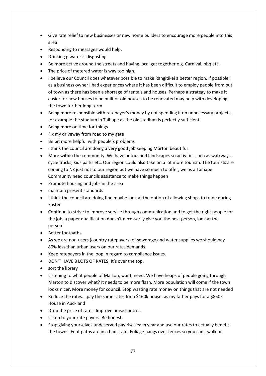- Give rate relief to new businesses or new home builders to encourage more people into this area
- Responding to messages would help.
- Drinking g water is disgusting
- Be more active around the streets and having local get together e.g. Carnival, bbq etc.
- The price of metered water is way too high.
- I believe our Council does whatever possible to make Rangitikei a better region. If possible; as a business owner I had experiences where it has been difficult to employ people from out of town as there has been a shortage of rentals and houses. Perhaps a strategy to make it easier for new houses to be built or old houses to be renovated may help with developing the town further long term
- Being more responsible with ratepayer's money by not spending it on unnecessary projects, for example the stadium in Taihape as the old stadium is perfectly sufficient.
- Being more on time for things
- Fix my driveway from road to my gate
- Be bit more helpful with people's problems
- I think the council are doing a very good job keeping Marton beautiful
- More within the community. We have untouched landscapes so activities such as walkways, cycle tracks, kids parks etc. Our region could also take on a lot more tourism. The tourists are coming to NZ just not to our region but we have so much to offer, we as a Taihape Community need councils assistance to make things happen
- Promote housing and jobs in the area
- maintain present standards
- I think the council are doing fine maybe look at the option of allowing shops to trade during Easter
- Continue to strive to improve service through communication and to get the right people for the job, a paper qualification doesn't necessarily give you the best person, look at the person!
- Better footpaths
- As we are non-users (country ratepayers) of sewerage and water supplies we should pay 80% less than urban users on our rates demands.
- Keep ratepayers in the loop in regard to compliance issues.
- DON'T HAVE 8 LOTS OF RATES, It's over the top.
- sort the library
- Listening to what people of Marton, want, need. We have heaps of people going through Marton to discover what? It needs to be more flash. More population will come if the town looks nicer. More money for council. Stop wasting rate money on things that are not needed
- Reduce the rates. I pay the same rates for a \$160k house, as my father pays for a \$850k House in Auckland
- Drop the price of rates. Improve noise control.
- Listen to your rate payers. Be honest.
- Stop giving yourselves undeserved pay rises each year and use our rates to actually benefit the towns. Foot paths are in a bad state. Foliage hangs over fences so you can't walk on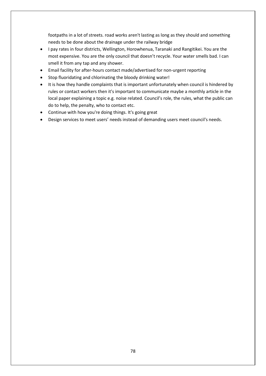footpaths in a lot of streets. road works aren't lasting as long as they should and something needs to be done about the drainage under the railway bridge

- I pay rates in four districts, Wellington, Horowhenua, Taranaki and Rangitikei. You are the most expensive. You are the only council that doesn't recycle. Your water smells bad. I can smell it from any tap and any shower.
- Email facility for after-hours contact made/advertised for non-urgent reporting
- Stop fluoridating and chlorinating the bloody drinking water!
- It is how they handle complaints that is important unfortunately when council is hindered by rules or contact workers then it's important to communicate maybe a monthly article in the local paper explaining a topic e.g. noise related. Council's role, the rules, what the public can do to help, the penalty, who to contact etc.
- Continue with how you're doing things. It's going great
- Design services to meet users' needs instead of demanding users meet council's needs.